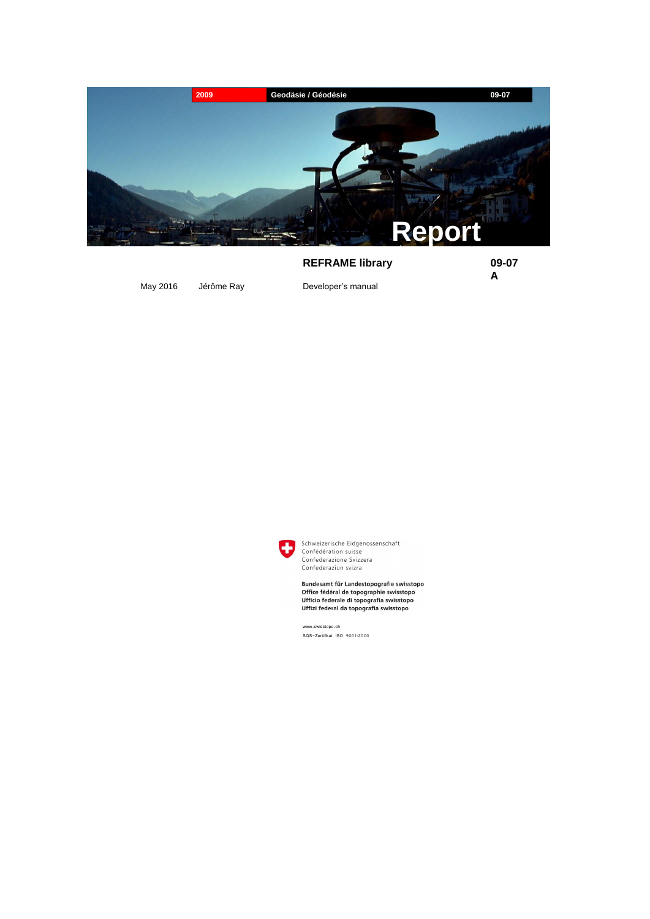

# **REFRAME library 09-07**

**A**

May 2016 Jérôme Ray **Developer's manual** 



Schweizerische Eidgenossenschaft Confédération suisse Confederazione Svizzera Confederaziun svizra

Bundesamt für Landestopografie swisstopo Office fédéral de topographie swisstopo Ufficio federale di topografia swisstopo Uffizi federal da topografia swisstopo

www.swisstopo.ch SQS-Zertifikat ISO 9001:2000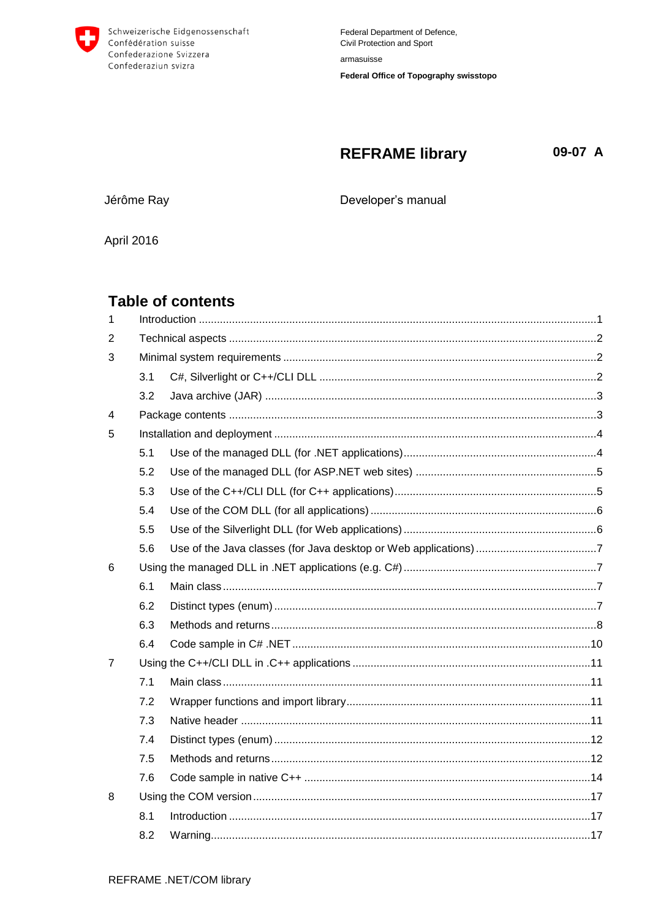

#### **REFRAME library** 09-07 A

Jérôme Ray

Developer's manual

**April 2016** 

# **Table of contents**

| 1 |     |  |  |  |
|---|-----|--|--|--|
| 2 |     |  |  |  |
| 3 |     |  |  |  |
|   | 3.1 |  |  |  |
|   | 3.2 |  |  |  |
| 4 |     |  |  |  |
| 5 |     |  |  |  |
|   | 5.1 |  |  |  |
|   | 5.2 |  |  |  |
|   | 5.3 |  |  |  |
|   | 5.4 |  |  |  |
|   | 5.5 |  |  |  |
|   | 5.6 |  |  |  |
| 6 |     |  |  |  |
|   | 6.1 |  |  |  |
|   | 6.2 |  |  |  |
|   | 6.3 |  |  |  |
|   | 6.4 |  |  |  |
| 7 |     |  |  |  |
|   | 7.1 |  |  |  |
|   | 7.2 |  |  |  |
|   | 7.3 |  |  |  |
|   | 7.4 |  |  |  |
|   | 7.5 |  |  |  |
|   | 7.6 |  |  |  |
| 8 |     |  |  |  |
|   | 8.1 |  |  |  |
|   | 8.2 |  |  |  |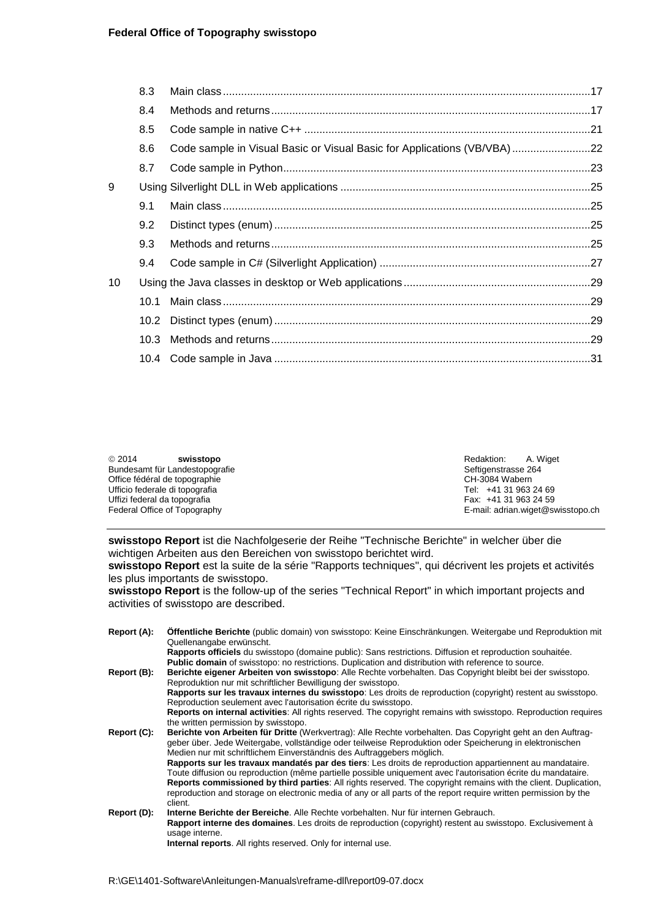## **Federal Office of Topography swisstopo**

|    | 8.3  |                                                                         |  |
|----|------|-------------------------------------------------------------------------|--|
|    | 8.4  |                                                                         |  |
|    | 8.5  |                                                                         |  |
|    | 8.6  | Code sample in Visual Basic or Visual Basic for Applications (VB/VBA)22 |  |
|    | 8.7  |                                                                         |  |
| 9  |      |                                                                         |  |
|    | 9.1  |                                                                         |  |
|    | 9.2  |                                                                         |  |
|    | 9.3  |                                                                         |  |
|    | 9.4  |                                                                         |  |
| 10 |      |                                                                         |  |
|    | 10.1 |                                                                         |  |
|    |      |                                                                         |  |
|    | 10.3 |                                                                         |  |
|    |      |                                                                         |  |
|    |      |                                                                         |  |

| @2014<br>swisstopo             | Redaktion:<br>A. Wiaet            |  |
|--------------------------------|-----------------------------------|--|
| Bundesamt für Landestopografie | Seftigenstrasse 264               |  |
| Office fédéral de topographie  | CH-3084 Wabern                    |  |
| Ufficio federale di topografia | Tel: +41 31 963 24 69             |  |
| Uffizi federal da topografia   | Fax: +41 31 963 24 59             |  |
| Federal Office of Topography   | E-mail: adrian.wiget@swisstopo.ch |  |

**swisstopo Report** ist die Nachfolgeserie der Reihe "Technische Berichte" in welcher über die wichtigen Arbeiten aus den Bereichen von swisstopo berichtet wird.

**swisstopo Report** est la suite de la série "Rapports techniques", qui décrivent les projets et activités les plus importants de swisstopo.

**swisstopo Report** is the follow-up of the series "Technical Report" in which important projects and activities of swisstopo are described.

| Report (A): | Offentliche Berichte (public domain) von swisstopo: Keine Einschränkungen. Weitergabe und Reproduktion mit<br>Quellenangabe erwünscht.                                                                                                                                                                                                                                                                                                                           |
|-------------|------------------------------------------------------------------------------------------------------------------------------------------------------------------------------------------------------------------------------------------------------------------------------------------------------------------------------------------------------------------------------------------------------------------------------------------------------------------|
|             | Rapports officiels du swisstopo (domaine public): Sans restrictions. Diffusion et reproduction souhaitée.<br><b>Public domain</b> of swisstopo: no restrictions. Duplication and distribution with reference to source.                                                                                                                                                                                                                                          |
| Report (B): | Berichte eigener Arbeiten von swisstopo: Alle Rechte vorbehalten. Das Copyright bleibt bei der swisstopo.<br>Reproduktion nur mit schriftlicher Bewilligung der swisstopo.                                                                                                                                                                                                                                                                                       |
|             | Rapports sur les travaux internes du swisstopo: Les droits de reproduction (copyright) restent au swisstopo.<br>Reproduction seulement avec l'autorisation écrite du swisstopo.                                                                                                                                                                                                                                                                                  |
|             | Reports on internal activities: All rights reserved. The copyright remains with swisstopo. Reproduction requires<br>the written permission by swisstopo.                                                                                                                                                                                                                                                                                                         |
| Report (C): | Berichte von Arbeiten für Dritte (Werkvertrag): Alle Rechte vorbehalten. Das Copyright geht an den Auftrag-<br>geber über. Jede Weitergabe, vollständige oder teilweise Reproduktion oder Speicherung in elektronischen<br>Medien nur mit schriftlichem Einverständnis des Auftraggebers möglich.                                                                                                                                                                |
|             | Rapports sur les travaux mandatés par des tiers: Les droits de reproduction appartiennent au mandataire.<br>Toute diffusion ou reproduction (même partielle possible uniquement avec l'autorisation écrite du mandataire.<br>Reports commissioned by third parties: All rights reserved. The copyright remains with the client. Duplication,<br>reproduction and storage on electronic media of any or all parts of the report require written permission by the |
| Report (D): | client.<br>Interne Berichte der Bereiche. Alle Rechte vorbehalten. Nur für internen Gebrauch.                                                                                                                                                                                                                                                                                                                                                                    |
|             | Rapport interne des domaines. Les droits de reproduction (copyright) restent au swisstopo. Exclusivement à<br>usage interne.                                                                                                                                                                                                                                                                                                                                     |
|             | Internal reports. All rights reserved. Only for internal use.                                                                                                                                                                                                                                                                                                                                                                                                    |

 $\ddot{\phantom{a}}$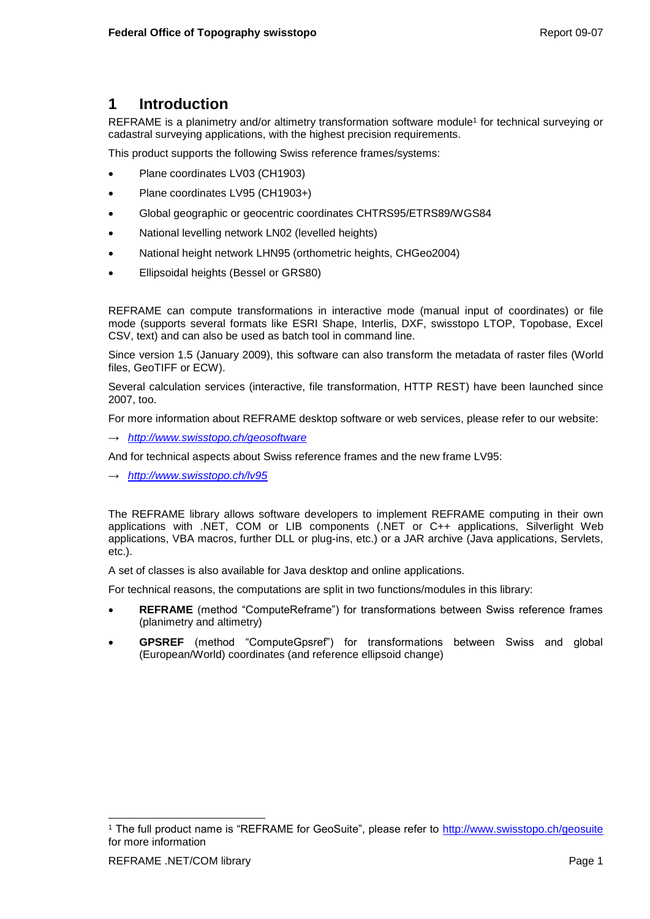# <span id="page-4-0"></span>**1 Introduction**

REFRAME is a planimetry and/or altimetry transformation software module<sup>1</sup> for technical surveying or cadastral surveying applications, with the highest precision requirements.

This product supports the following Swiss reference frames/systems:

- Plane coordinates LV03 (CH1903)
- Plane coordinates LV95 (CH1903+)
- Global geographic or geocentric coordinates CHTRS95/ETRS89/WGS84
- National levelling network LN02 (levelled heights)
- National height network LHN95 (orthometric heights, CHGeo2004)
- Ellipsoidal heights (Bessel or GRS80)

REFRAME can compute transformations in interactive mode (manual input of coordinates) or file mode (supports several formats like ESRI Shape, Interlis, DXF, swisstopo LTOP, Topobase, Excel CSV, text) and can also be used as batch tool in command line.

Since version 1.5 (January 2009), this software can also transform the metadata of raster files (World files, GeoTIFF or ECW).

Several calculation services (interactive, file transformation, HTTP REST) have been launched since 2007, too.

For more information about REFRAME desktop software or web services, please refer to our website:

→ *<http://www.swisstopo.ch/geosoftware>*

And for technical aspects about Swiss reference frames and the new frame LV95:

→ *<http://www.swisstopo.ch/lv95>*

The REFRAME library allows software developers to implement REFRAME computing in their own applications with .NET, COM or LIB components (.NET or C++ applications, Silverlight Web applications, VBA macros, further DLL or plug-ins, etc.) or a JAR archive (Java applications, Servlets, etc.).

A set of classes is also available for Java desktop and online applications.

For technical reasons, the computations are split in two functions/modules in this library:

- **REFRAME** (method "ComputeReframe") for transformations between Swiss reference frames (planimetry and altimetry)
- **GPSREF** (method "ComputeGpsref") for transformations between Swiss and global (European/World) coordinates (and reference ellipsoid change)

<sup>&</sup>lt;sup>1</sup> The full product name is "REFRAME for GeoSuite", please refer to<http://www.swisstopo.ch/geosuite> for more information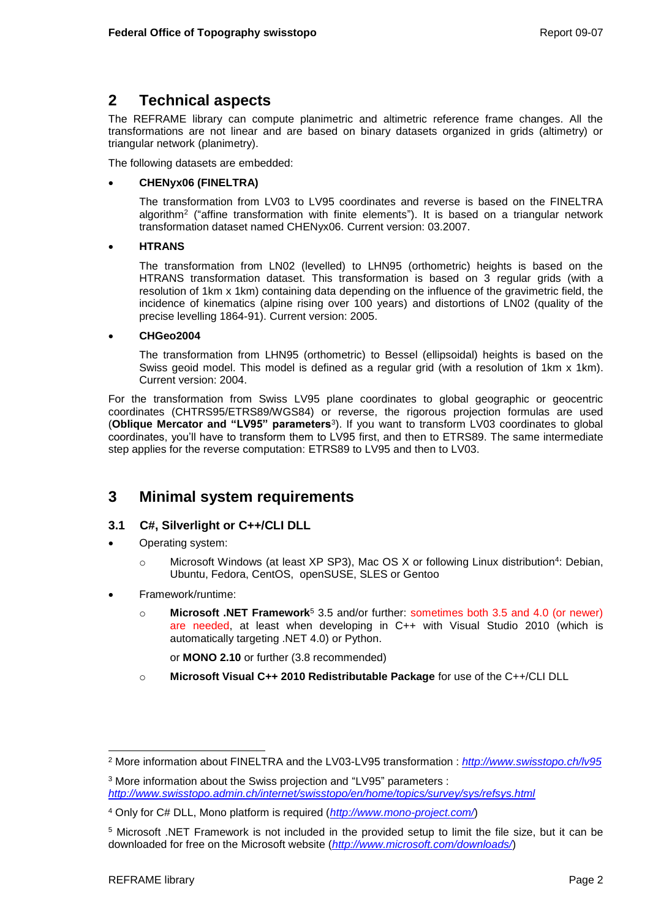# <span id="page-5-0"></span>**2 Technical aspects**

The REFRAME library can compute planimetric and altimetric reference frame changes. All the transformations are not linear and are based on binary datasets organized in grids (altimetry) or triangular network (planimetry).

The following datasets are embedded:

## **CHENyx06 (FINELTRA)**

The transformation from LV03 to LV95 coordinates and reverse is based on the FINELTRA algorithm<sup>2</sup> ("affine transformation with finite elements"). It is based on a triangular network transformation dataset named CHENyx06. Current version: 03.2007.

### **HTRANS**

The transformation from LN02 (levelled) to LHN95 (orthometric) heights is based on the HTRANS transformation dataset. This transformation is based on 3 regular grids (with a resolution of 1km x 1km) containing data depending on the influence of the gravimetric field, the incidence of kinematics (alpine rising over 100 years) and distortions of LN02 (quality of the precise levelling 1864-91). Current version: 2005.

### **CHGeo2004**

The transformation from LHN95 (orthometric) to Bessel (ellipsoidal) heights is based on the Swiss geoid model. This model is defined as a regular grid (with a resolution of 1km x 1km). Current version: 2004.

For the transformation from Swiss LV95 plane coordinates to global geographic or geocentric coordinates (CHTRS95/ETRS89/WGS84) or reverse, the rigorous projection formulas are used (**Oblique Mercator and "LV95" parameters**<sup>3</sup> ). If you want to transform LV03 coordinates to global coordinates, you'll have to transform them to LV95 first, and then to ETRS89. The same intermediate step applies for the reverse computation: ETRS89 to LV95 and then to LV03.

# <span id="page-5-1"></span>**3 Minimal system requirements**

# <span id="page-5-2"></span>**3.1 C#, Silverlight or C++/CLI DLL**

- Operating system:
	- o Microsoft Windows (at least XP SP3), Mac OS X or following Linux distribution<sup>4</sup>: Debian, Ubuntu, Fedora, CentOS, openSUSE, SLES or Gentoo
- Framework/runtime:
	- o **Microsoft .NET Framework**<sup>5</sup> 3.5 and/or further: sometimes both 3.5 and 4.0 (or newer) are needed, at least when developing in C++ with Visual Studio 2010 (which is automatically targeting .NET 4.0) or Python.

or **MONO 2.10** or further (3.8 recommended)

o **Microsoft Visual C++ 2010 Redistributable Package** for use of the C++/CLI DLL

<sup>2</sup> More information about FINELTRA and the LV03-LV95 transformation : *<http://www.swisstopo.ch/lv95>*

<sup>3</sup> More information about the Swiss projection and "LV95" parameters : *<http://www.swisstopo.admin.ch/internet/swisstopo/en/home/topics/survey/sys/refsys.html>*

<sup>4</sup> Only for C# DLL, Mono platform is required (*<http://www.mono-project.com/>*)

<sup>5</sup> Microsoft .NET Framework is not included in the provided setup to limit the file size, but it can be downloaded for free on the Microsoft website (*<http://www.microsoft.com/downloads/>*)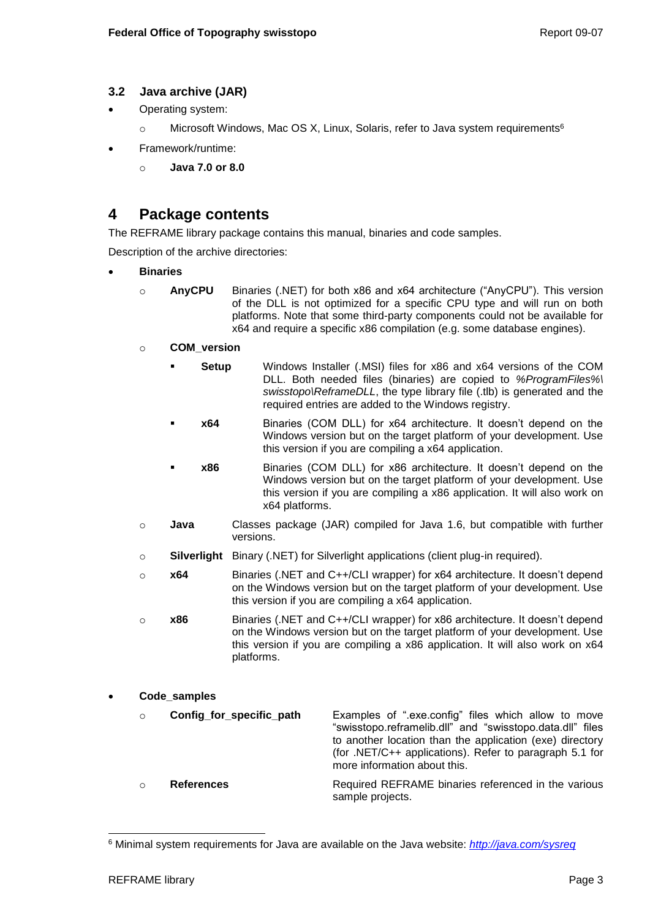# <span id="page-6-0"></span>**3.2 Java archive (JAR)**

- Operating system:
	- $\circ$  Microsoft Windows, Mac OS X, Linux, Solaris, refer to Java system requirements<sup>6</sup>
- Framework/runtime:
	- o **Java 7.0 or 8.0**

# <span id="page-6-1"></span>**4 Package contents**

The REFRAME library package contains this manual, binaries and code samples.

Description of the archive directories:

- **Binaries**
	- o **AnyCPU** Binaries (.NET) for both x86 and x64 architecture ("AnyCPU"). This version of the DLL is not optimized for a specific CPU type and will run on both platforms. Note that some third-party components could not be available for x64 and require a specific x86 compilation (e.g. some database engines).
	- o **COM\_version**
		- **Setup** Windows Installer (.MSI) files for x86 and x64 versions of the COM DLL. Both needed files (binaries) are copied to *%ProgramFiles%\ swisstopo\ReframeDLL*, the type library file (.tlb) is generated and the required entries are added to the Windows registry.
		- **x64** Binaries (COM DLL) for x64 architecture. It doesn't depend on the Windows version but on the target platform of your development. Use this version if you are compiling a x64 application.
		- **x86** Binaries (COM DLL) for x86 architecture. It doesn't depend on the Windows version but on the target platform of your development. Use this version if you are compiling a x86 application. It will also work on x64 platforms.
	- o **Java** Classes package (JAR) compiled for Java 1.6, but compatible with further versions.
	- o **Silverlight** Binary (.NET) for Silverlight applications (client plug-in required).
	- o **x64** Binaries (.NET and C++/CLI wrapper) for x64 architecture. It doesn't depend on the Windows version but on the target platform of your development. Use this version if you are compiling a x64 application.
	- o **x86** Binaries (.NET and C++/CLI wrapper) for x86 architecture. It doesn't depend on the Windows version but on the target platform of your development. Use this version if you are compiling a x86 application. It will also work on x64 platforms.

# **Code\_samples**

o **Config\_for\_specific\_path** Examples of ".exe.config" files which allow to move "swisstopo.reframelib.dll" and "swisstopo.data.dll" files to another location than the application (exe) directory (for .NET/C++ applications). Refer to paragraph [5.1](#page-7-1) for more information about this. o **References** Required REFRAME binaries referenced in the various sample projects.

<sup>6</sup> Minimal system requirements for Java are available on the Java website: *<http://java.com/sysreq>*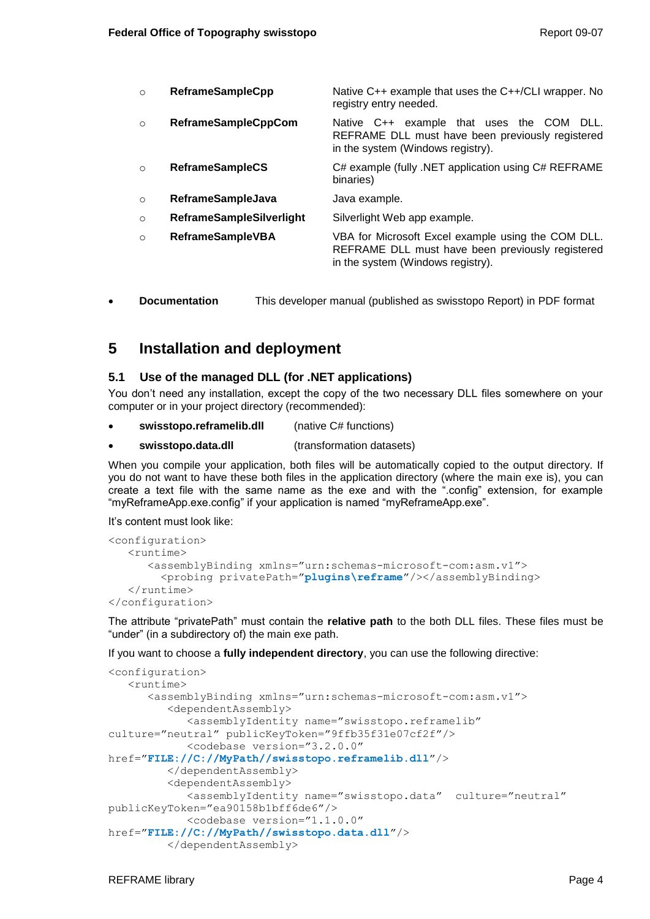- o **ReframeSampleCpp** Native C++ example that uses the C++/CLI wrapper. No registry entry needed.
- o **ReframeSampleCppCom** Native C++ example that uses the COM DLL. REFRAME DLL must have been previously registered in the system (Windows registry).
- o **ReframeSampleCS** C# example (fully .NET application using C# REFRAME binaries)
- o **ReframeSampleJava** Java example.
- o **ReframeSampleSilverlight** Silverlight Web app example.
- o **ReframeSampleVBA** VBA for Microsoft Excel example using the COM DLL. REFRAME DLL must have been previously registered in the system (Windows registry).
- **Documentation** This developer manual (published as swisstopo Report) in PDF format

# <span id="page-7-0"></span>**5 Installation and deployment**

## <span id="page-7-1"></span>**5.1 Use of the managed DLL (for .NET applications)**

You don't need any installation, except the copy of the two necessary DLL files somewhere on your computer or in your project directory (recommended):

- **swisstopo.reframelib.dll** (native C# functions)
- **swisstopo.data.dll** (transformation datasets)

When you compile your application, both files will be automatically copied to the output directory. If you do not want to have these both files in the application directory (where the main exe is), you can create a text file with the same name as the exe and with the ".config" extension, for example "myReframeApp.exe.config" if your application is named "myReframeApp.exe".

It's content must look like:

```
<configuration>
    <runtime>
       <assemblyBinding xmlns="urn:schemas-microsoft-com:asm.v1">
         <probing privatePath="plugins\reframe"/></assemblyBinding>
   \langle / runtime>
</configuration>
```
The attribute "privatePath" must contain the **relative path** to the both DLL files. These files must be "under" (in a subdirectory of) the main exe path.

If you want to choose a **fully independent directory**, you can use the following directive:

```
<configuration>
   \langleruntime\rangle <assemblyBinding xmlns="urn:schemas-microsoft-com:asm.v1">
          <dependentAssembly>
             <assemblyIdentity name="swisstopo.reframelib" 
culture="neutral" publicKeyToken="9ffb35f31e07cf2f"/>
             <codebase version="3.2.0.0"
href="FILE://C://MyPath//swisstopo.reframelib.dll"/>
          </dependentAssembly>
          <dependentAssembly>
             <assemblyIdentity name="swisstopo.data" culture="neutral"
publicKeyToken="ea90158b1bff6de6"/>
             <codebase version="1.1.0.0"
href="FILE://C://MyPath//swisstopo.data.dll"/>
          </dependentAssembly>
```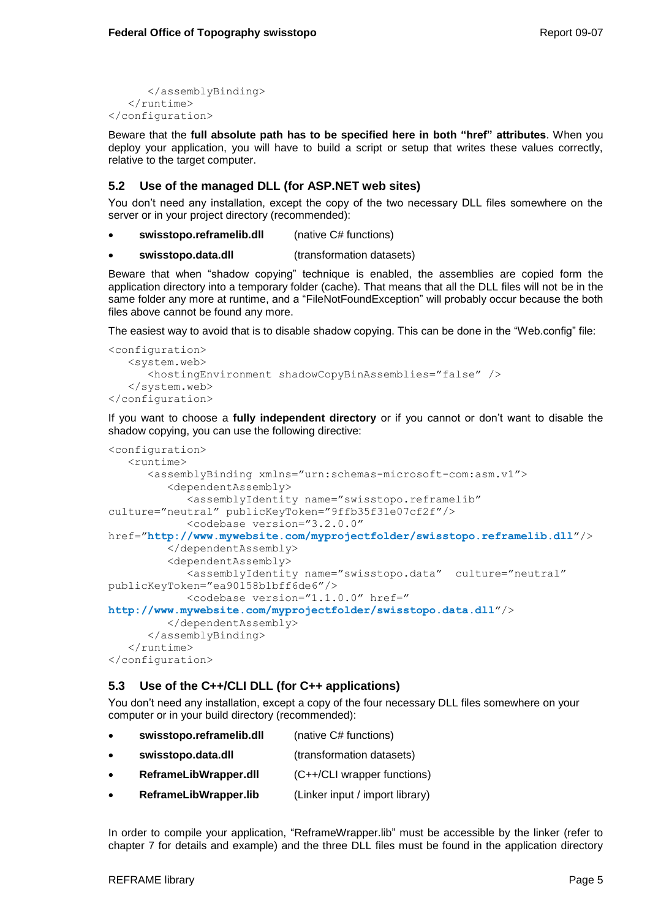</assemblyBinding>  $\langle$ /runtime> </configuration>

Beware that the **full absolute path has to be specified here in both "href" attributes**. When you deploy your application, you will have to build a script or setup that writes these values correctly, relative to the target computer.

## <span id="page-8-0"></span>**5.2 Use of the managed DLL (for ASP.NET web sites)**

You don't need any installation, except the copy of the two necessary DLL files somewhere on the server or in your project directory (recommended):

- **swisstopo.reframelib.dll** (native C# functions)
- **swisstopo.data.dll** (transformation datasets)

Beware that when "shadow copying" technique is enabled, the assemblies are copied form the application directory into a temporary folder (cache). That means that all the DLL files will not be in the same folder any more at runtime, and a "FileNotFoundException" will probably occur because the both files above cannot be found any more.

The easiest way to avoid that is to disable shadow copying. This can be done in the "Web.config" file:

```
<configuration>
    <system.web>
       <hostingEnvironment shadowCopyBinAssemblies="false" />
    </system.web>
</configuration>
```
If you want to choose a **fully independent directory** or if you cannot or don't want to disable the shadow copying, you can use the following directive:

```
<configuration>
    <runtime>
       <assemblyBinding xmlns="urn:schemas-microsoft-com:asm.v1">
          <dependentAssembly>
             <assemblyIdentity name="swisstopo.reframelib" 
culture="neutral" publicKeyToken="9ffb35f31e07cf2f"/>
             <codebase version="3.2.0.0"
href="http://www.mywebsite.com/myprojectfolder/swisstopo.reframelib.dll"/>
          </dependentAssembly>
          <dependentAssembly>
             <assemblyIdentity name="swisstopo.data" culture="neutral"
publicKeyToken="ea90158b1bff6de6"/>
             <codebase version="1.1.0.0" href="
http://www.mywebsite.com/myprojectfolder/swisstopo.data.dll"/>
          </dependentAssembly>
       </assemblyBinding>
   \langle / runtime>
</configuration>
```
# <span id="page-8-1"></span>**5.3 Use of the C++/CLI DLL (for C++ applications)**

You don't need any installation, except a copy of the four necessary DLL files somewhere on your computer or in your build directory (recommended):

- **swisstopo.reframelib.dll** (native C# functions) **swisstopo.data.dll** (transformation datasets) **ReframeLibWrapper.dll** (C++/CLI wrapper functions)
- **ReframeLibWrapper.lib** (Linker input / import library)

In order to compile your application, "ReframeWrapper.lib" must be accessible by the linker (refer to chapter [7](#page-14-0) for details and example) and the three DLL files must be found in the application directory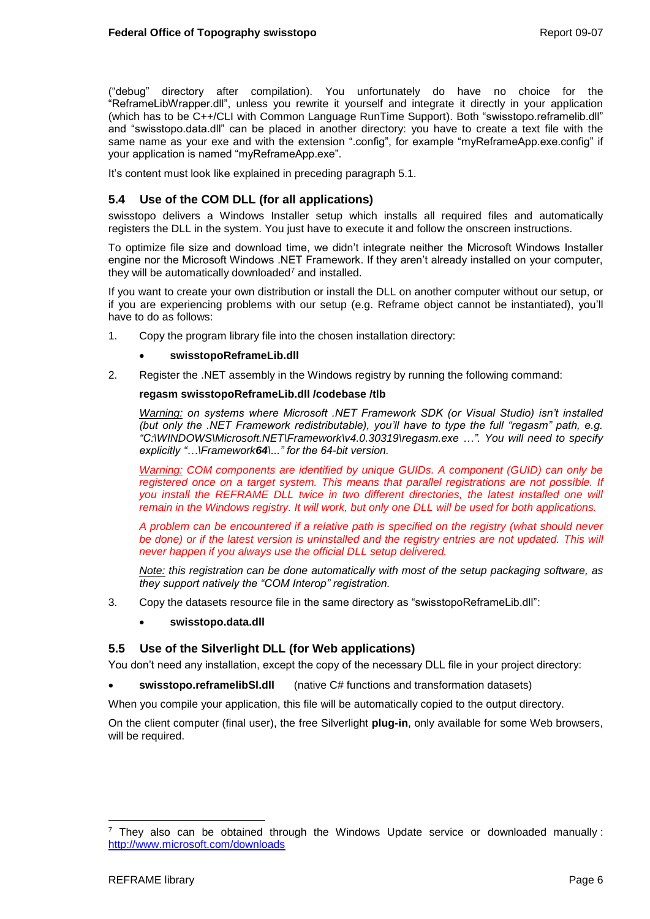("debug" directory after compilation). You unfortunately do have no choice for the "ReframeLibWrapper.dll", unless you rewrite it yourself and integrate it directly in your application (which has to be C++/CLI with Common Language RunTime Support). Both "swisstopo.reframelib.dll" and "swisstopo.data.dll" can be placed in another directory: you have to create a text file with the same name as your exe and with the extension ".config", for example "myReframeApp.exe.config" if your application is named "myReframeApp.exe".

It's content must look like explained in preceding paragraph [5.1.](#page-7-1)

## <span id="page-9-0"></span>**5.4 Use of the COM DLL (for all applications)**

swisstopo delivers a Windows Installer setup which installs all required files and automatically registers the DLL in the system. You just have to execute it and follow the onscreen instructions.

To optimize file size and download time, we didn't integrate neither the Microsoft Windows Installer engine nor the Microsoft Windows .NET Framework. If they aren't already installed on your computer, they will be automatically downloaded<sup>7</sup> and installed.

If you want to create your own distribution or install the DLL on another computer without our setup, or if you are experiencing problems with our setup (e.g. Reframe object cannot be instantiated), you'll have to do as follows:

1. Copy the program library file into the chosen installation directory:

### **swisstopoReframeLib.dll**

2. Register the .NET assembly in the Windows registry by running the following command:

### **regasm swisstopoReframeLib.dll /codebase /tlb**

*Warning: on systems where Microsoft .NET Framework SDK (or Visual Studio) isn't installed (but only the .NET Framework redistributable), you'll have to type the full "regasm" path, e.g. "C:\WINDOWS\Microsoft.NET\Framework\v4.0.30319\regasm.exe …". You will need to specify explicitly "…\Framework64\..." for the 64-bit version.*

*Warning: COM components are identified by unique GUIDs. A component (GUID) can only be registered once on a target system. This means that parallel registrations are not possible. If*  you install the REFRAME DLL twice in two different directories, the latest installed one will *remain in the Windows registry. It will work, but only one DLL will be used for both applications.* 

*A problem can be encountered if a relative path is specified on the registry (what should never be done) or if the latest version is uninstalled and the registry entries are not updated. This will never happen if you always use the official DLL setup delivered.*

*Note: this registration can be done automatically with most of the setup packaging software, as they support natively the "COM Interop" registration.*

- 3. Copy the datasets resource file in the same directory as "swisstopoReframeLib.dll":
	- **swisstopo.data.dll**

## <span id="page-9-1"></span>**5.5 Use of the Silverlight DLL (for Web applications)**

You don't need any installation, except the copy of the necessary DLL file in your project directory:

**swisstopo.reframelibSl.dll** (native C# functions and transformation datasets)

When you compile your application, this file will be automatically copied to the output directory.

On the client computer (final user), the free Silverlight **plug-in**, only available for some Web browsers, will be required.

l They also can be obtained through the Windows Update service or downloaded manually : <http://www.microsoft.com/downloads>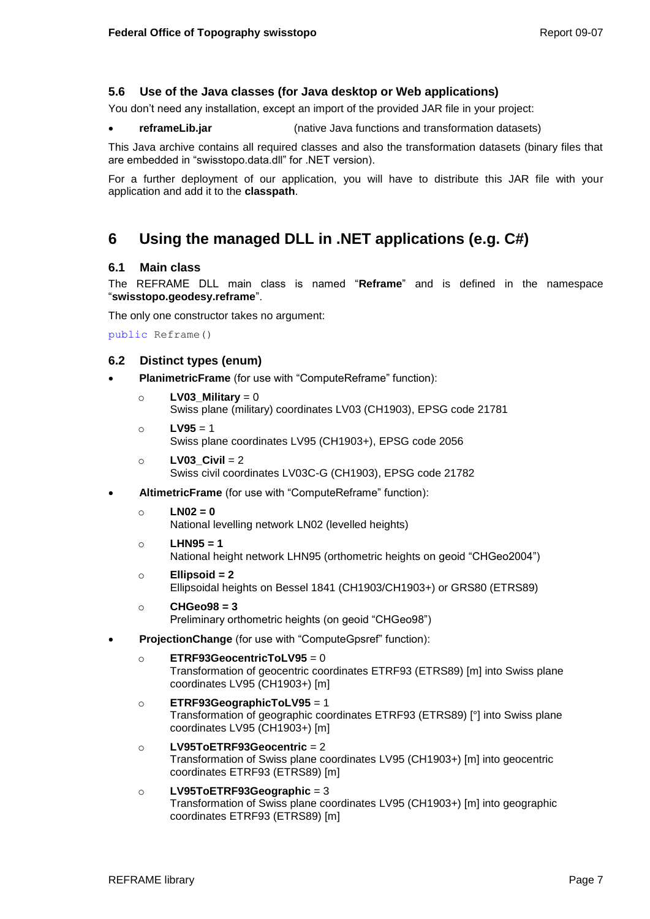# <span id="page-10-0"></span>**5.6 Use of the Java classes (for Java desktop or Web applications)**

You don't need any installation, except an import of the provided JAR file in your project:

**reframeLib.jar** (native Java functions and transformation datasets)

This Java archive contains all required classes and also the transformation datasets (binary files that are embedded in "swisstopo.data.dll" for .NET version).

For a further deployment of our application, you will have to distribute this JAR file with your application and add it to the **classpath**.

# <span id="page-10-4"></span><span id="page-10-1"></span>**6 Using the managed DLL in .NET applications (e.g. C#)**

## <span id="page-10-2"></span>**6.1 Main class**

The REFRAME DLL main class is named "**Reframe**" and is defined in the namespace "**swisstopo.geodesy.reframe**".

The only one constructor takes no argument:

public Reframe()

## <span id="page-10-3"></span>**6.2 Distinct types (enum)**

- **PlanimetricFrame** (for use with "ComputeReframe" function):
	- o **LV03\_Military** = 0 Swiss plane (military) coordinates LV03 (CH1903), EPSG code 21781
	- o **LV95** = 1 Swiss plane coordinates LV95 (CH1903+), EPSG code 2056
	- o **LV03\_Civil** = 2 Swiss civil coordinates LV03C-G (CH1903), EPSG code 21782
- **AltimetricFrame** (for use with "ComputeReframe" function):
	- $\circ$  **LN02** = 0

National levelling network LN02 (levelled heights)

- o **LHN95 = 1** National height network LHN95 (orthometric heights on geoid "CHGeo2004")
- o **Ellipsoid = 2** Ellipsoidal heights on Bessel 1841 (CH1903/CH1903+) or GRS80 (ETRS89)
- o **CHGeo98 = 3** Preliminary orthometric heights (on geoid "CHGeo98")
- **ProjectionChange** (for use with "ComputeGpsref" function):
	- o **ETRF93GeocentricToLV95** = 0 Transformation of geocentric coordinates ETRF93 (ETRS89) [m] into Swiss plane coordinates LV95 (CH1903+) [m]
	- o **ETRF93GeographicToLV95** = 1 Transformation of geographic coordinates ETRF93 (ETRS89) [°] into Swiss plane coordinates LV95 (CH1903+) [m]
	- o **LV95ToETRF93Geocentric** = 2 Transformation of Swiss plane coordinates LV95 (CH1903+) [m] into geocentric coordinates ETRF93 (ETRS89) [m]
	- o **LV95ToETRF93Geographic** = 3 Transformation of Swiss plane coordinates LV95 (CH1903+) [m] into geographic coordinates ETRF93 (ETRS89) [m]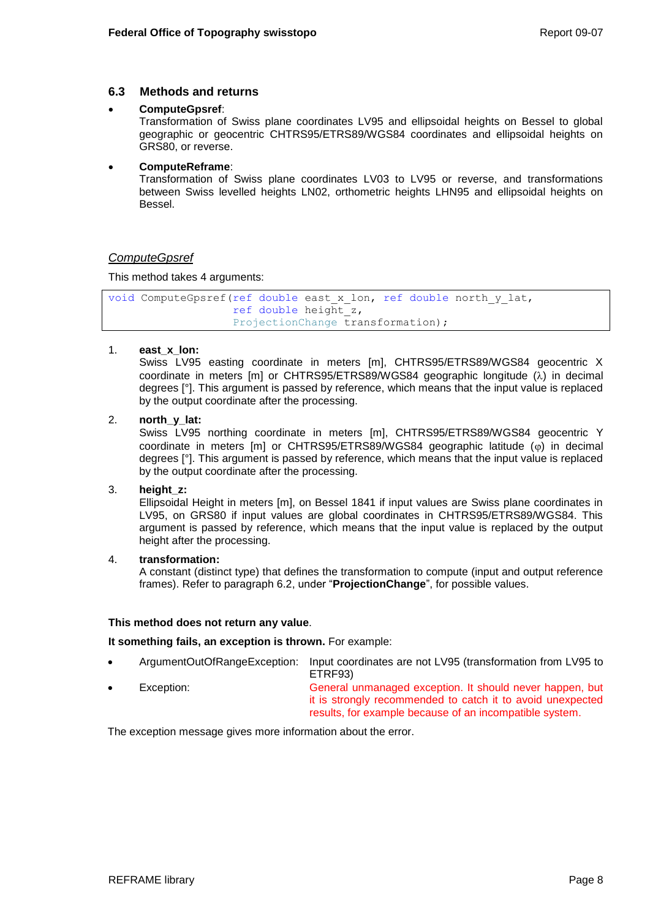## <span id="page-11-0"></span>**6.3 Methods and returns**

### **ComputeGpsref**:

Transformation of Swiss plane coordinates LV95 and ellipsoidal heights on Bessel to global geographic or geocentric CHTRS95/ETRS89/WGS84 coordinates and ellipsoidal heights on GRS80, or reverse.

### **ComputeReframe**:

Transformation of Swiss plane coordinates LV03 to LV95 or reverse, and transformations between Swiss levelled heights LN02, orthometric heights LHN95 and ellipsoidal heights on Bessel.

## *ComputeGpsref*

This method takes 4 arguments:

```
void ComputeGpsref(ref double east_x_lon, ref double north_y_lat, 
                   ref double height_z, 
                   ProjectionChange transformation);
```
## 1. **east\_x\_lon:**

Swiss LV95 easting coordinate in meters [m], CHTRS95/ETRS89/WGS84 geocentric X coordinate in meters [m] or CHTRS95/ETRS89/WGS84 geographic longitude  $(\lambda)$  in decimal degrees [°]. This argument is passed by reference, which means that the input value is replaced by the output coordinate after the processing.

## 2. **north\_y\_lat:**

Swiss LV95 northing coordinate in meters [m], CHTRS95/ETRS89/WGS84 geocentric Y coordinate in meters [m] or CHTRS95/ETRS89/WGS84 geographic latitude  $(\varphi)$  in decimal degrees [°]. This argument is passed by reference, which means that the input value is replaced by the output coordinate after the processing.

#### 3. **height\_z:**

Ellipsoidal Height in meters [m], on Bessel 1841 if input values are Swiss plane coordinates in LV95, on GRS80 if input values are global coordinates in CHTRS95/ETRS89/WGS84. This argument is passed by reference, which means that the input value is replaced by the output height after the processing.

## 4. **transformation:**

A constant (distinct type) that defines the transformation to compute (input and output reference frames). Refer to paragraph [6.2,](#page-10-3) under "**ProjectionChange**", for possible values.

#### **This method does not return any value**.

**It something fails, an exception is thrown.** For example:

- ArgumentOutOfRangeException: Input coordinates are not LV95 (transformation from LV95 to ETRF93)
	- Exception: General unmanaged exception. It should never happen, but it is strongly recommended to catch it to avoid unexpected results, for example because of an incompatible system.

The exception message gives more information about the error.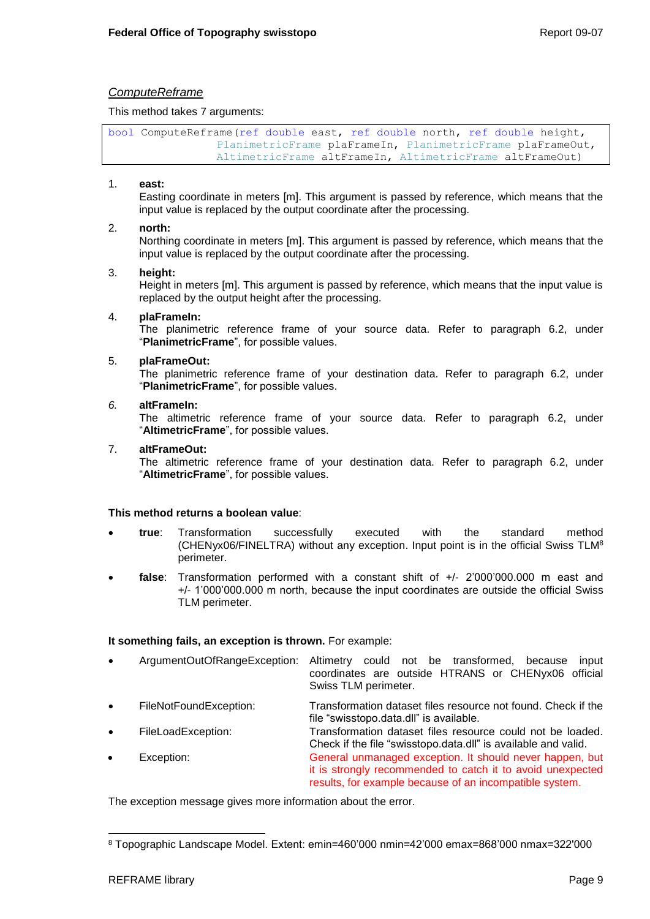## *ComputeReframe*

This method takes 7 arguments:

bool ComputeReframe(ref double east, ref double north, ref double height, PlanimetricFrame plaFrameIn, PlanimetricFrame plaFrameOut, AltimetricFrame altFrameIn, AltimetricFrame altFrameOut)

#### 1. **east:**

Easting coordinate in meters [m]. This argument is passed by reference, which means that the input value is replaced by the output coordinate after the processing.

#### 2. **north:**

Northing coordinate in meters [m]. This argument is passed by reference, which means that the input value is replaced by the output coordinate after the processing.

#### 3. **height:**

Height in meters [m]. This argument is passed by reference, which means that the input value is replaced by the output height after the processing.

#### 4. **plaFrameIn:**

The planimetric reference frame of your source data. Refer to paragraph [6.2,](#page-10-3) under "**PlanimetricFrame**", for possible values.

#### 5. **plaFrameOut:**

The planimetric reference frame of your destination data. Refer to paragraph [6.2,](#page-10-3) under "**PlanimetricFrame**", for possible values.

#### *6.* **altFrameIn:**

The altimetric reference frame of your source data. Refer to paragraph [6.2,](#page-10-3) under "**AltimetricFrame**", for possible values.

#### 7. **altFrameOut:**

The altimetric reference frame of your destination data. Refer to paragraph [6.2,](#page-10-3) under "**AltimetricFrame**", for possible values.

#### **This method returns a boolean value**:

- **true**: Transformation successfully executed with the standard method (CHENyx06/FINELTRA) without any exception. Input point is in the official Swiss TLM<sup>8</sup> perimeter.
- **false**: Transformation performed with a constant shift of +/- 2'000'000.000 m east and +/- 1'000'000.000 m north, because the input coordinates are outside the official Swiss TLM perimeter.

#### **It something fails, an exception is thrown.** For example:

- ArgumentOutOfRangeException: Altimetry could not be transformed, because input coordinates are outside HTRANS or CHENyx06 official Swiss TLM perimeter.
- FileNotFoundException: Transformation dataset files resource not found. Check if the file "swisstopo.data.dll" is available.
- FileLoadException: Transformation dataset files resource could not be loaded. Check if the file "swisstopo.data.dll" is available and valid. Exception: General unmanaged exception. It should never happen, but it is strongly recommended to catch it to avoid unexpected results, for example because of an incompatible system.

The exception message gives more information about the error.

l <sup>8</sup> Topographic Landscape Model. Extent: emin=460'000 nmin=42'000 emax=868'000 nmax=322'000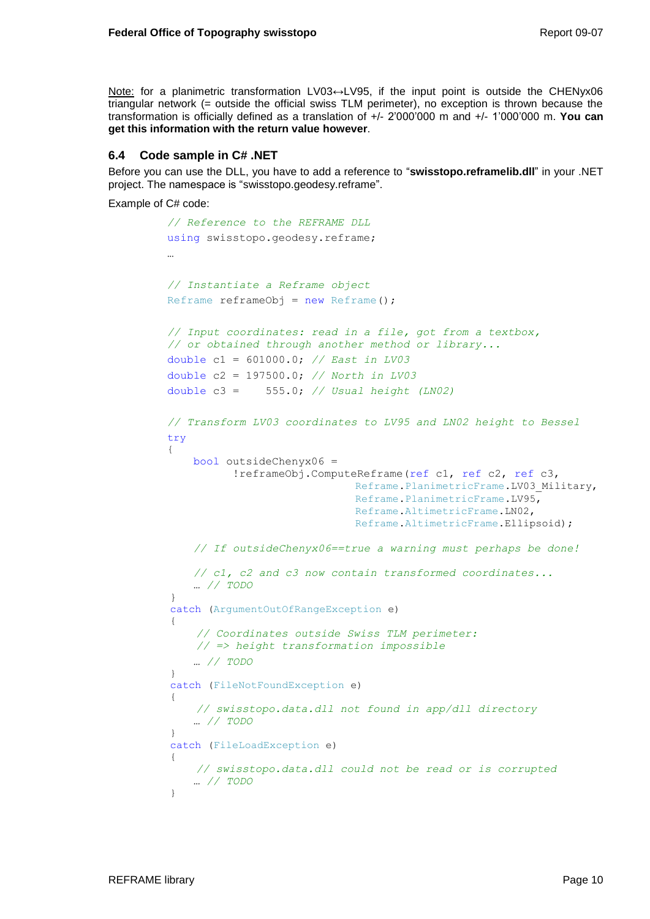Note: for a planimetric transformation LV03↔LV95, if the input point is outside the CHENyx06 triangular network (= outside the official swiss TLM perimeter), no exception is thrown because the transformation is officially defined as a translation of +/- 2'000'000 m and +/- 1'000'000 m. **You can get this information with the return value however**.

# <span id="page-13-0"></span>**6.4 Code sample in C# .NET**

Before you can use the DLL, you have to add a reference to "**swisstopo.reframelib.dll**" in your .NET project. The namespace is "swisstopo.geodesy.reframe".

Example of C# code:

```
// Reference to the REFRAME DLL 
using swisstopo.geodesy.reframe;
…
// Instantiate a Reframe object
Reframe refnameObj = new Reframe();
// Input coordinates: read in a file, got from a textbox, 
// or obtained through another method or library...
double c1 = 601000.0; // East in LV03
double c2 = 197500.0; // North in LV03
double c3 = 555.0; // Usual height (LN02)
// Transform LV03 coordinates to LV95 and LN02 height to Bessel
try
{
    bool outsideChenyx06 = 
           !reframeObj.ComputeReframe(ref c1, ref c2, ref c3,
                             Reframe.PlanimetricFrame.LV03 Military,
                             Reframe.PlanimetricFrame.LV95,
                              Reframe.AltimetricFrame.LN02,
                              Reframe.AltimetricFrame.Ellipsoid);
    // If outsideChenyx06==true a warning must perhaps be done!
    // c1, c2 and c3 now contain transformed coordinates...
    … // TODO
}
catch (ArgumentOutOfRangeException e)
{
     // Coordinates outside Swiss TLM perimeter: 
     // => height transformation impossible
    … // TODO
}
catch (FileNotFoundException e)
{
     // swisstopo.data.dll not found in app/dll directory
    … // TODO
}
catch (FileLoadException e)
{
     // swisstopo.data.dll could not be read or is corrupted
    … // TODO
}
```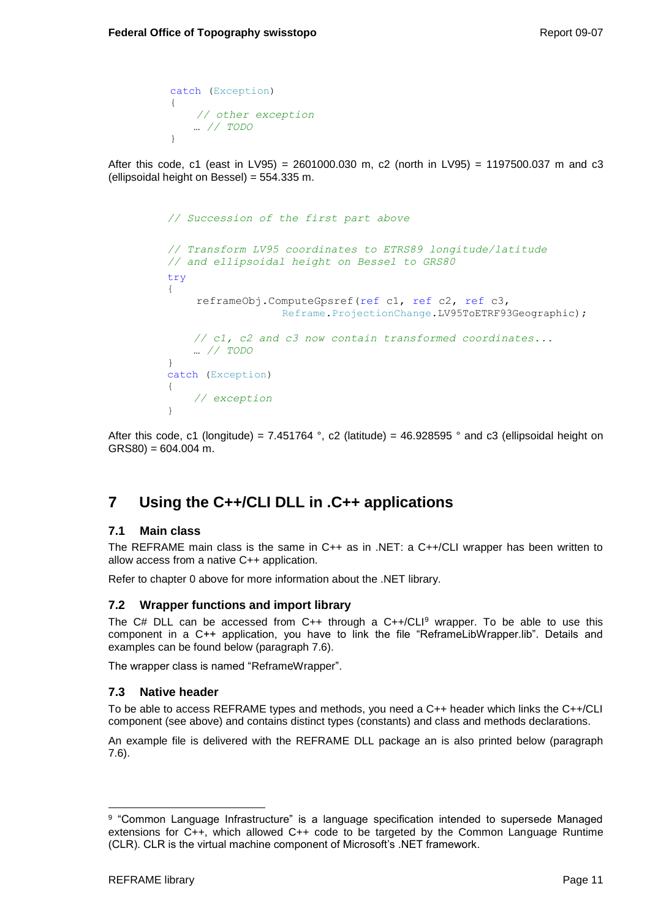```
catch (Exception)
{
     // other exception
   … // TODO
}
```
After this code, c1 (east in LV95) = 2601000.030 m, c2 (north in LV95) = 1197500.037 m and c3 (ellipsoidal height on Bessel) = 554.335 m.

```
// Succession of the first part above
// Transform LV95 coordinates to ETRS89 longitude/latitude
// and ellipsoidal height on Bessel to GRS80
try
{
     reframeObj.ComputeGpsref(ref c1, ref c2, ref c3, 
                   Reframe.ProjectionChange.LV95ToETRF93Geographic);
    // c1, c2 and c3 now contain transformed coordinates...
    … // TODO
}
catch (Exception)
{
     // exception
}
```
After this code, c1 (longitude) = 7.451764 °, c2 (latitude) = 46.928595 ° and c3 (ellipsoidal height on  $GRS80$ ) = 604.004 m.

# <span id="page-14-0"></span>**7 Using the C++/CLI DLL in .C++ applications**

## <span id="page-14-1"></span>**7.1 Main class**

The REFRAME main class is the same in C++ as in .NET: a C++/CLI wrapper has been written to allow access from a native C++ application.

Refer to chapter [0](#page-10-4) above for more information about the .NET library.

# <span id="page-14-2"></span>**7.2 Wrapper functions and import library**

The  $C#$  DLL can be accessed from  $C++$  through a  $C++/CLI<sup>9</sup>$  wrapper. To be able to use this component in a C++ application, you have to link the file "ReframeLibWrapper.lib". Details and examples can be found below (paragraph [7.6\)](#page-17-0).

The wrapper class is named "ReframeWrapper".

## <span id="page-14-3"></span>**7.3 Native header**

To be able to access REFRAME types and methods, you need a C++ header which links the C++/CLI component (see above) and contains distinct types (constants) and class and methods declarations.

An example file is delivered with the REFRAME DLL package an is also printed below (paragraph [7.6\)](#page-17-0).

l <sup>9</sup> "Common Language Infrastructure" is a language specification intended to supersede Managed extensions for C++, which allowed C++ code to be targeted by the Common Language Runtime (CLR). CLR is the virtual machine component of Microsoft's .NET framework.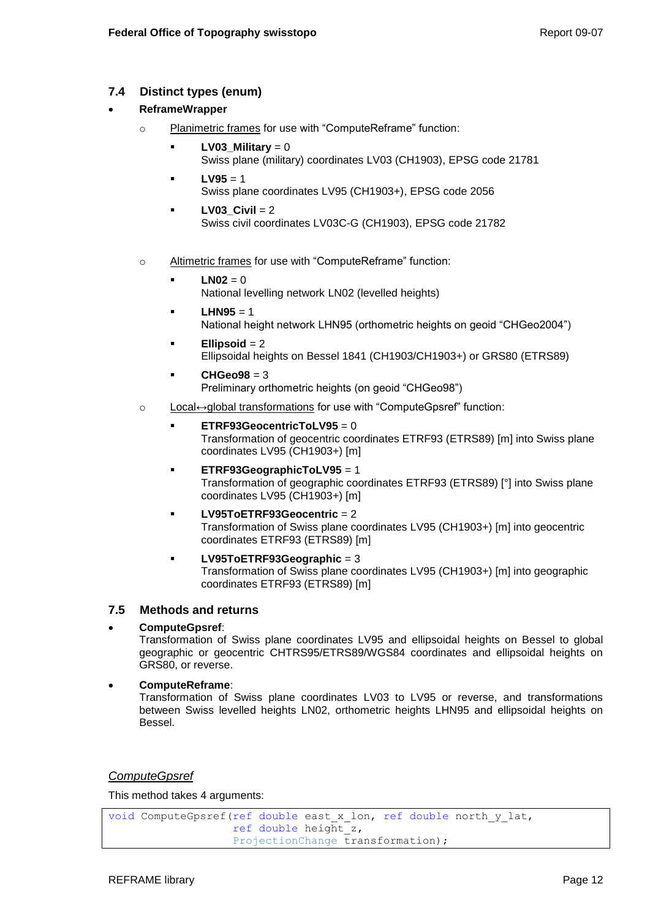# <span id="page-15-0"></span>**7.4 Distinct types (enum)**

## **ReframeWrapper**

- o Planimetric frames for use with "ComputeReframe" function:
	- **LV03\_Military** =  $0$ Swiss plane (military) coordinates LV03 (CH1903), EPSG code 21781
	- $LV95 = 1$ Swiss plane coordinates LV95 (CH1903+), EPSG code 2056
	- **LV03\_Civil** = 2 Swiss civil coordinates LV03C-G (CH1903), EPSG code 21782
- o Altimetric frames for use with "ComputeReframe" function:
	- **LN02** = 0 National levelling network LN02 (levelled heights)
	- $LHM95 = 1$ National height network LHN95 (orthometric heights on geoid "CHGeo2004")
	- **Ellipsoid** = 2 Ellipsoidal heights on Bessel 1841 (CH1903/CH1903+) or GRS80 (ETRS89)
	- **CHGeo98** = 3 Preliminary orthometric heights (on geoid "CHGeo98")
- o Local↔global transformations for use with "ComputeGpsref" function:
	- **ETRF93GeocentricToLV95** = 0 Transformation of geocentric coordinates ETRF93 (ETRS89) [m] into Swiss plane coordinates LV95 (CH1903+) [m]
	- **ETRF93GeographicToLV95** = 1 Transformation of geographic coordinates ETRF93 (ETRS89) [°] into Swiss plane coordinates LV95 (CH1903+) [m]
	- **LV95ToETRF93Geocentric** = 2 Transformation of Swiss plane coordinates LV95 (CH1903+) [m] into geocentric coordinates ETRF93 (ETRS89) [m]
		- **LV95ToETRF93Geographic** = 3 Transformation of Swiss plane coordinates LV95 (CH1903+) [m] into geographic coordinates ETRF93 (ETRS89) [m]

# <span id="page-15-1"></span>**7.5 Methods and returns**

# **ComputeGpsref**:

Transformation of Swiss plane coordinates LV95 and ellipsoidal heights on Bessel to global geographic or geocentric CHTRS95/ETRS89/WGS84 coordinates and ellipsoidal heights on GRS80, or reverse.

**ComputeReframe**:

Transformation of Swiss plane coordinates LV03 to LV95 or reverse, and transformations between Swiss levelled heights LN02, orthometric heights LHN95 and ellipsoidal heights on Bessel.

## *ComputeGpsref*

This method takes 4 arguments:

```
void ComputeGpsref(ref double east x lon, ref double north y lat,
                   ref double height_z, 
                   ProjectionChange transformation);
```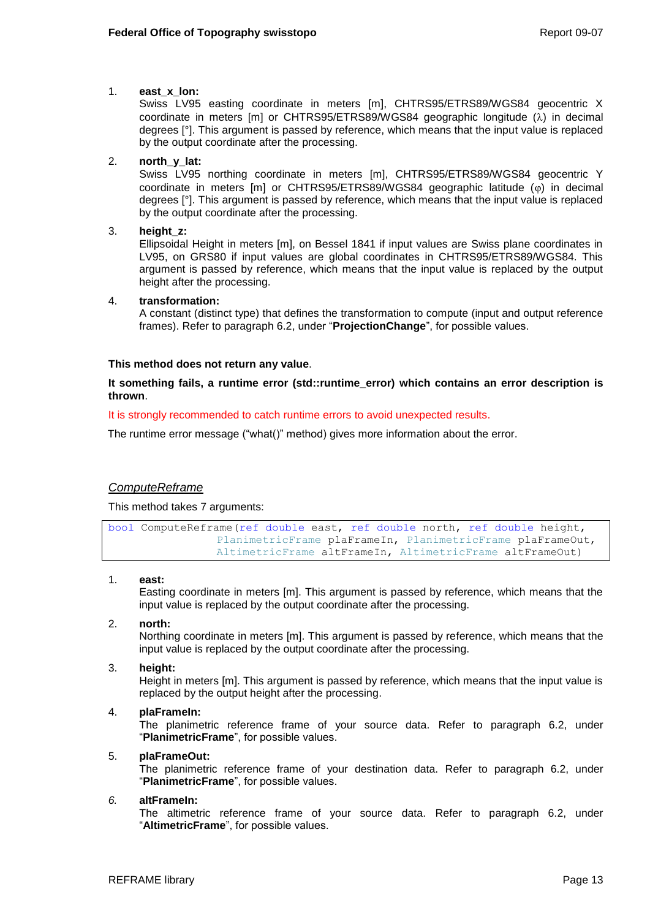## 1. **east\_x\_lon:**

Swiss LV95 easting coordinate in meters [m], CHTRS95/ETRS89/WGS84 geocentric X coordinate in meters [m] or CHTRS95/ETRS89/WGS84 geographic longitude  $(\lambda)$  in decimal degrees [°]. This argument is passed by reference, which means that the input value is replaced by the output coordinate after the processing.

## 2. **north\_y\_lat:**

Swiss LV95 northing coordinate in meters [m], CHTRS95/ETRS89/WGS84 geocentric Y coordinate in meters [m] or CHTRS95/ETRS89/WGS84 geographic latitude  $(\varphi)$  in decimal degrees [°]. This argument is passed by reference, which means that the input value is replaced by the output coordinate after the processing.

### 3. **height\_z:**

Ellipsoidal Height in meters [m], on Bessel 1841 if input values are Swiss plane coordinates in LV95, on GRS80 if input values are global coordinates in CHTRS95/ETRS89/WGS84. This argument is passed by reference, which means that the input value is replaced by the output height after the processing.

#### 4. **transformation:**

A constant (distinct type) that defines the transformation to compute (input and output reference frames). Refer to paragraph [6.2,](#page-10-3) under "**ProjectionChange**", for possible values.

### **This method does not return any value**.

**It something fails, a runtime error (std::runtime\_error) which contains an error description is thrown**.

It is strongly recommended to catch runtime errors to avoid unexpected results.

The runtime error message ("what()" method) gives more information about the error.

## *ComputeReframe*

This method takes 7 arguments:

```
bool ComputeReframe(ref double east, ref double north, ref double height,
                PlanimetricFrame plaFrameIn, PlanimetricFrame plaFrameOut,
                AltimetricFrame altFrameIn, AltimetricFrame altFrameOut)
```
#### 1. **east:**

Easting coordinate in meters [m]. This argument is passed by reference, which means that the input value is replaced by the output coordinate after the processing.

#### 2. **north:**

Northing coordinate in meters [m]. This argument is passed by reference, which means that the input value is replaced by the output coordinate after the processing.

3. **height:** 

Height in meters [m]. This argument is passed by reference, which means that the input value is replaced by the output height after the processing.

#### 4. **plaFrameIn:**

The planimetric reference frame of your source data. Refer to paragraph [6.2,](#page-10-3) under "**PlanimetricFrame**", for possible values.

#### 5. **plaFrameOut:**

The planimetric reference frame of your destination data. Refer to paragraph [6.2,](#page-10-3) under "**PlanimetricFrame**", for possible values.

#### *6.* **altFrameIn:**

The altimetric reference frame of your source data. Refer to paragraph [6.2,](#page-10-3) under "**AltimetricFrame**", for possible values.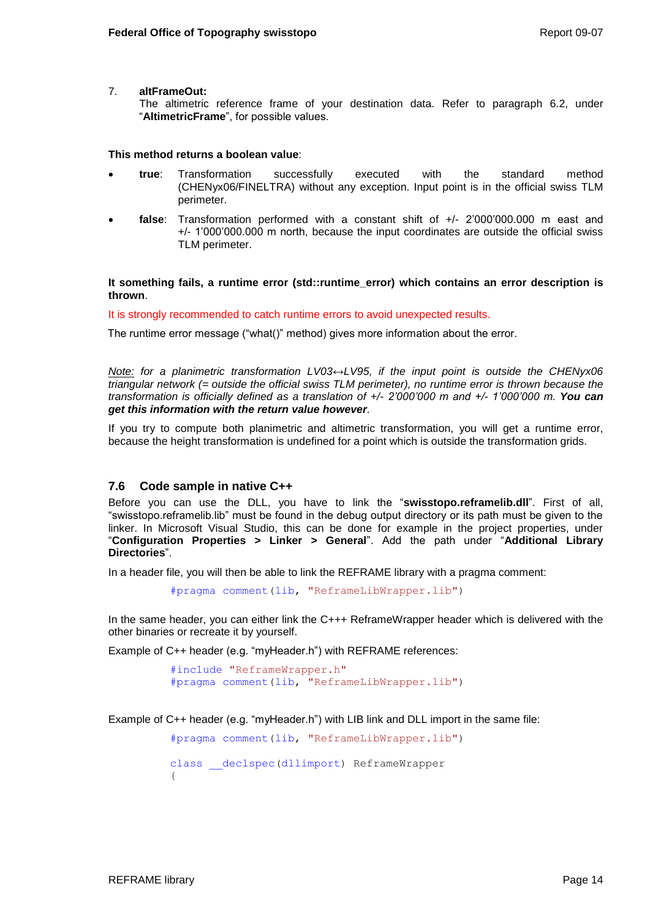#### 7. **altFrameOut:**

The altimetric reference frame of your destination data. Refer to paragraph [6.2,](#page-10-3) under "**AltimetricFrame**", for possible values.

#### **This method returns a boolean value**:

- **true**: Transformation successfully executed with the standard method (CHENyx06/FINELTRA) without any exception. Input point is in the official swiss TLM perimeter.
- **false**: Transformation performed with a constant shift of +/- 2'000'000.000 m east and +/- 1'000'000.000 m north, because the input coordinates are outside the official swiss TLM perimeter.

**It something fails, a runtime error (std::runtime\_error) which contains an error description is thrown**.

It is strongly recommended to catch runtime errors to avoid unexpected results.

The runtime error message ("what()" method) gives more information about the error.

*Note: for a planimetric transformation LV03↔LV95, if the input point is outside the CHENyx06 triangular network (= outside the official swiss TLM perimeter), no runtime error is thrown because the transformation is officially defined as a translation of +/- 2'000'000 m and +/- 1'000'000 m. You can get this information with the return value however.*

If you try to compute both planimetric and altimetric transformation, you will get a runtime error, because the height transformation is undefined for a point which is outside the transformation grids.

## <span id="page-17-0"></span>**7.6 Code sample in native C++**

Before you can use the DLL, you have to link the "**swisstopo.reframelib.dll**". First of all, "swisstopo.reframelib.lib" must be found in the debug output directory or its path must be given to the linker. In Microsoft Visual Studio, this can be done for example in the project properties, under "**Configuration Properties > Linker > General**". Add the path under "**Additional Library Directories**".

In a header file, you will then be able to link the REFRAME library with a pragma comment:

#pragma comment(lib, "ReframeLibWrapper.lib")

In the same header, you can either link the C+++ ReframeWrapper header which is delivered with the other binaries or recreate it by yourself.

Example of C++ header (e.g. "myHeader.h") with REFRAME references:

#include "ReframeWrapper.h" #pragma comment(lib, "ReframeLibWrapper.lib")

Example of C++ header (e.g. "myHeader.h") with LIB link and DLL import in the same file:

#pragma comment(lib, "ReframeLibWrapper.lib") class declspec(dllimport) ReframeWrapper {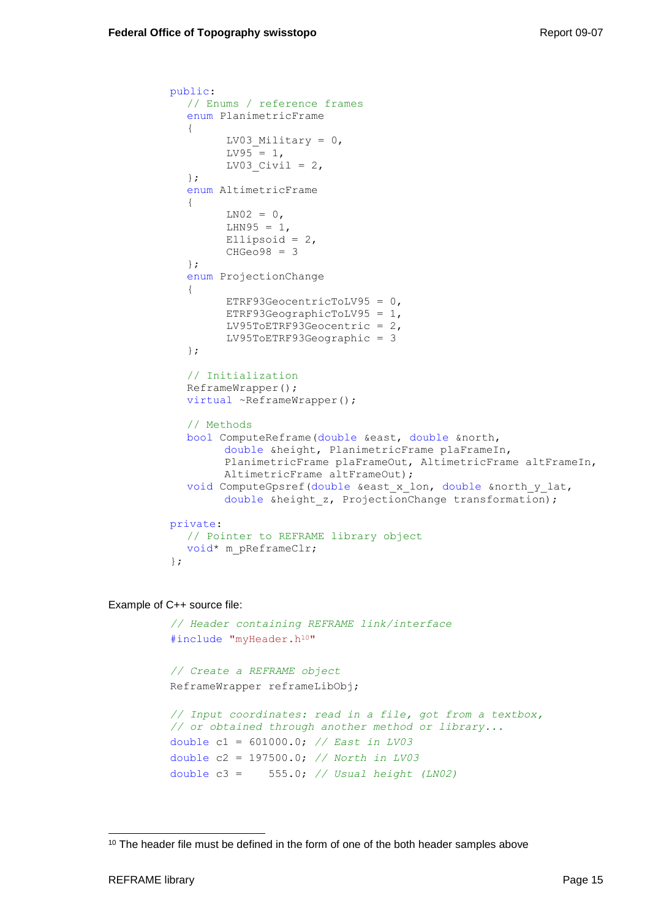```
public:
  // Enums / reference frames
  enum PlanimetricFrame
  {
        LV03 Military = 0,LV95 = 1,
        LV03 Civil = 2,
  };
  enum AltimetricFrame
  {
        LNO2 = 0,
        LHN95 = 1,
        Ellipsoid = 2,
        CHGeo98 = 3};
  enum ProjectionChange
  {
        ETRF93GeocentricToLV95 = 0,
        ETRF93GeographicToLV95 = 1,
        LV95ToETRF93Geocentric = 2,
        LV95ToETRF93Geographic = 3
  };
  // Initialization
  ReframeWrapper();
  virtual ~ReframeWrapper();
  // Methods
  bool ComputeReframe(double &east, double &north, 
        double &height, PlanimetricFrame plaFrameIn, 
        PlanimetricFrame plaFrameOut, AltimetricFrame altFrameIn,
        AltimetricFrame altFrameOut);
  void ComputeGpsref(double &east_x_lon, double &north_y_lat,
        double &height z, ProjectionChange transformation);
private:
  // Pointer to REFRAME library object
  void* m_pReframeClr;
};
```
Example of C++ source file:

```
// Header containing REFRAME link/interface
#include "myHeader.h<sup>10"</sup>
// Create a REFRAME object
ReframeWrapper reframeLibObj;
// Input coordinates: read in a file, got from a textbox, 
// or obtained through another method or library...
double c1 = 601000.0; // East in LV03
double c2 = 197500.0; // North in LV03
double c3 = 555.0; // Usual height (LN02)
```
l <sup>10</sup> The header file must be defined in the form of one of the both header samples above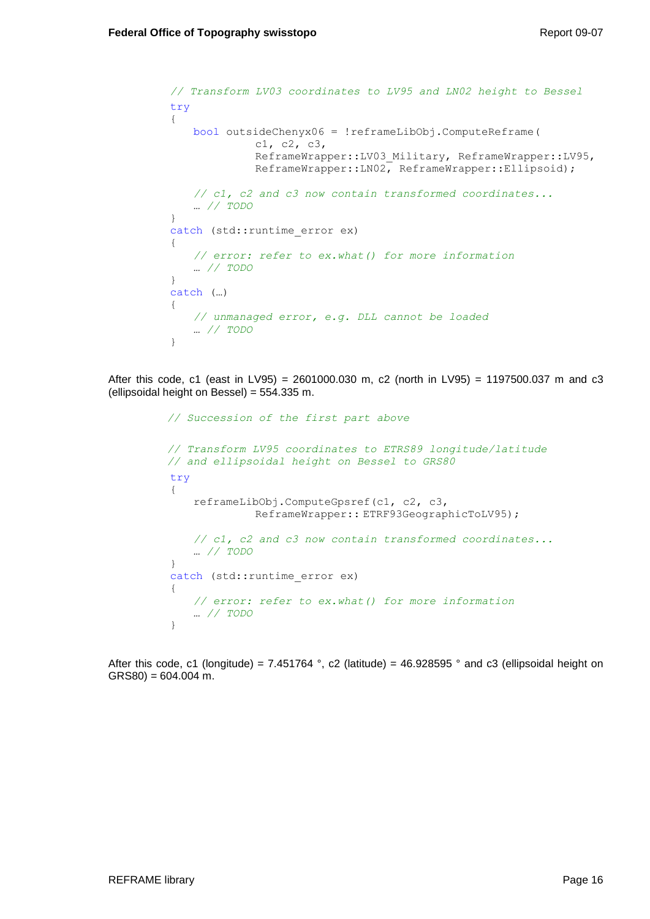```
// Transform LV03 coordinates to LV95 and LN02 height to Bessel
try
{
   bool outsideChenyx06 = !reframeLibObj.ComputeReframe(
             c1, c2, c3, 
             ReframeWrapper::LV03_Military, ReframeWrapper::LV95,
             ReframeWrapper::LN02, ReframeWrapper::Ellipsoid);
   // c1, c2 and c3 now contain transformed coordinates...
   … // TODO
}
catch (std::runtime_error ex)
{
   // error: refer to ex.what() for more information
   … // TODO
}
catch (…)
{
   // unmanaged error, e.g. DLL cannot be loaded
   … // TODO
}
```
After this code, c1 (east in LV95) = 2601000.030 m, c2 (north in LV95) = 1197500.037 m and c3 (ellipsoidal height on Bessel) = 554.335 m.

```
// Succession of the first part above
// Transform LV95 coordinates to ETRS89 longitude/latitude
// and ellipsoidal height on Bessel to GRS80
try
{
   reframeLibObj.ComputeGpsref(c1, c2, c3, 
             ReframeWrapper:: ETRF93GeographicToLV95);
   // c1, c2 and c3 now contain transformed coordinates...
   … // TODO
}
catch (std:: runtime error ex)
{
   // error: refer to ex.what() for more information
   … // TODO
}
```
After this code, c1 (longitude) = 7.451764 °, c2 (latitude) = 46.928595 ° and c3 (ellipsoidal height on  $GRS80$ ) = 604.004 m.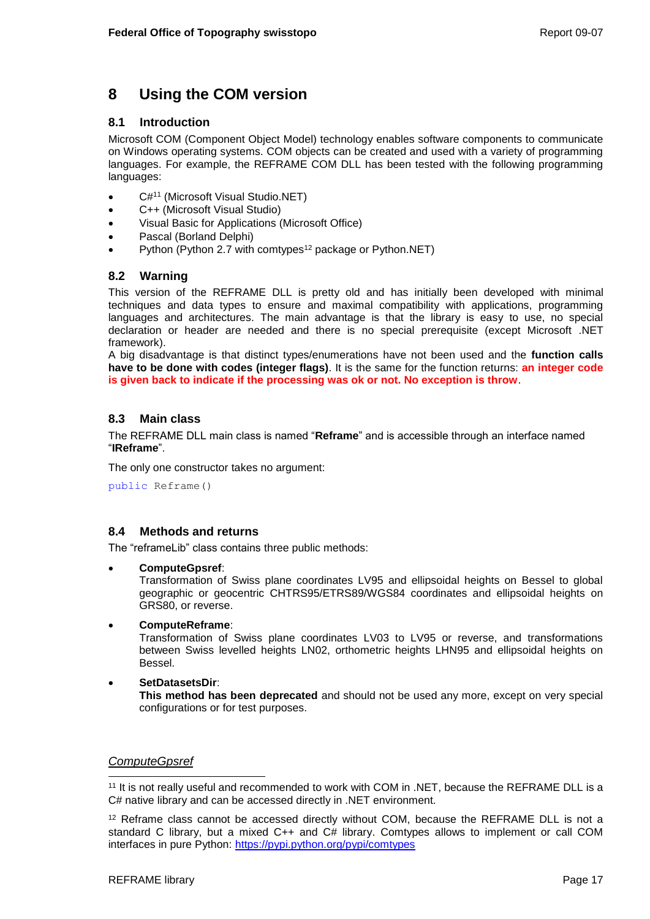# <span id="page-20-0"></span>**8 Using the COM version**

## <span id="page-20-1"></span>**8.1 Introduction**

Microsoft COM (Component Object Model) technology enables software components to communicate on Windows operating systems. COM objects can be created and used with a variety of programming languages. For example, the REFRAME COM DLL has been tested with the following programming languages:

- C#<sup>11</sup> (Microsoft Visual Studio.NET)
- C++ (Microsoft Visual Studio)
- Visual Basic for Applications (Microsoft Office)
- Pascal (Borland Delphi)
- Python (Python 2.7 with comtypes<sup>12</sup> package or Python.NET)

## <span id="page-20-2"></span>**8.2 Warning**

This version of the REFRAME DLL is pretty old and has initially been developed with minimal techniques and data types to ensure and maximal compatibility with applications, programming languages and architectures. The main advantage is that the library is easy to use, no special declaration or header are needed and there is no special prerequisite (except Microsoft .NET framework).

A big disadvantage is that distinct types/enumerations have not been used and the **function calls have to be done with codes (integer flags)**. It is the same for the function returns: **an integer code is given back to indicate if the processing was ok or not. No exception is throw**.

# <span id="page-20-3"></span>**8.3 Main class**

The REFRAME DLL main class is named "**Reframe**" and is accessible through an interface named "**IReframe**".

The only one constructor takes no argument:

public Reframe()

# <span id="page-20-4"></span>**8.4 Methods and returns**

The "reframeLib" class contains three public methods:

**ComputeGpsref**:

Transformation of Swiss plane coordinates LV95 and ellipsoidal heights on Bessel to global geographic or geocentric CHTRS95/ETRS89/WGS84 coordinates and ellipsoidal heights on GRS80, or reverse.

**ComputeReframe**:

Transformation of Swiss plane coordinates LV03 to LV95 or reverse, and transformations between Swiss levelled heights LN02, orthometric heights LHN95 and ellipsoidal heights on Bessel.

 **SetDatasetsDir**: **This method has been deprecated** and should not be used any more, except on very special configurations or for test purposes.

## *ComputeGpsref*

l <sup>11</sup> It is not really useful and recommended to work with COM in .NET, because the REFRAME DLL is a C# native library and can be accessed directly in .NET environment.

<sup>12</sup> Reframe class cannot be accessed directly without COM, because the REFRAME DLL is not a standard C library, but a mixed C++ and C# library. Comtypes allows to implement or call COM interfaces in pure Python:<https://pypi.python.org/pypi/comtypes>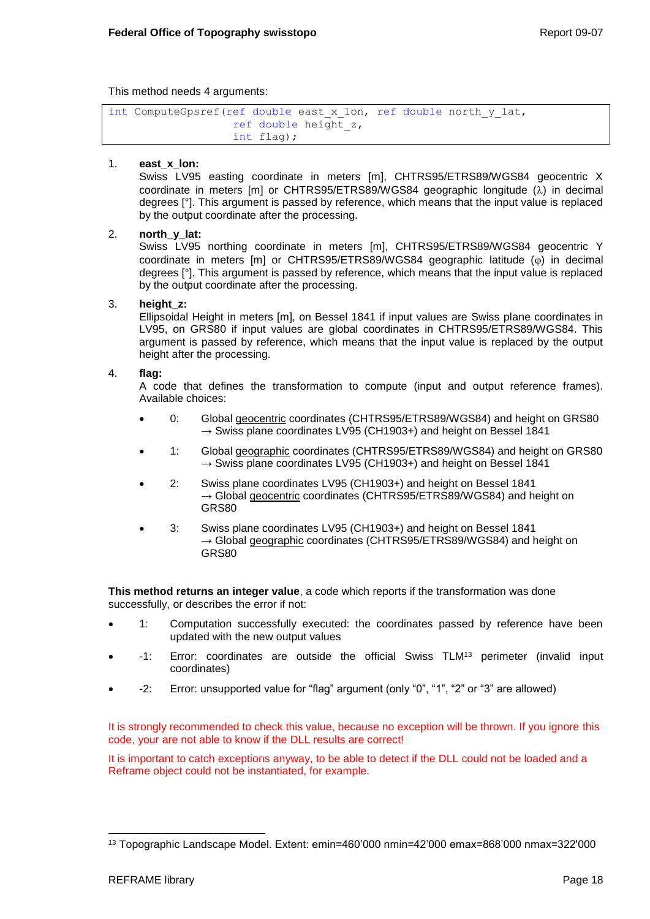This method needs 4 arguments:

```
int ComputeGpsref(ref double east_x_lon, ref double north_y_lat, 
                   ref double height_z, 
                   int flag);
```
### 1. **east\_x\_lon:**

Swiss LV95 easting coordinate in meters [m], CHTRS95/ETRS89/WGS84 geocentric X coordinate in meters  $[m]$  or CHTRS95/ETRS89/WGS84 geographic longitude  $(\lambda)$  in decimal degrees [°]. This argument is passed by reference, which means that the input value is replaced by the output coordinate after the processing.

### 2. **north\_y\_lat:**

Swiss LV95 northing coordinate in meters [m], CHTRS95/ETRS89/WGS84 geocentric Y coordinate in meters  $[m]$  or CHTRS95/ETRS89/WGS84 geographic latitude  $(\varphi)$  in decimal degrees [°]. This argument is passed by reference, which means that the input value is replaced by the output coordinate after the processing.

#### 3. **height\_z:**

Ellipsoidal Height in meters [m], on Bessel 1841 if input values are Swiss plane coordinates in LV95, on GRS80 if input values are global coordinates in CHTRS95/ETRS89/WGS84. This argument is passed by reference, which means that the input value is replaced by the output height after the processing.

### 4. **flag:**

A code that defines the transformation to compute (input and output reference frames). Available choices:

- 0: Global geocentric coordinates (CHTRS95/ETRS89/WGS84) and height on GRS80  $\rightarrow$  Swiss plane coordinates LV95 (CH1903+) and height on Bessel 1841
- 1: Global geographic coordinates (CHTRS95/ETRS89/WGS84) and height on GRS80  $\rightarrow$  Swiss plane coordinates LV95 (CH1903+) and height on Bessel 1841
- 2: Swiss plane coordinates LV95 (CH1903+) and height on Bessel 1841  $\rightarrow$  Global geocentric coordinates (CHTRS95/ETRS89/WGS84) and height on GRS80
- 3: Swiss plane coordinates LV95 (CH1903+) and height on Bessel 1841  $\rightarrow$  Global geographic coordinates (CHTRS95/ETRS89/WGS84) and height on GRS80

**This method returns an integer value**, a code which reports if the transformation was done successfully, or describes the error if not:

- 1: Computation successfully executed: the coordinates passed by reference have been updated with the new output values
- -1: Error: coordinates are outside the official Swiss TLM<sup>13</sup> perimeter (invalid input coordinates)
- -2: Error: unsupported value for "flag" argument (only "0", "1", "2" or "3" are allowed)

It is strongly recommended to check this value, because no exception will be thrown. If you ignore this code, your are not able to know if the DLL results are correct!

It is important to catch exceptions anyway, to be able to detect if the DLL could not be loaded and a Reframe object could not be instantiated, for example.

l <sup>13</sup> Topographic Landscape Model. Extent: emin=460'000 nmin=42'000 emax=868'000 nmax=322'000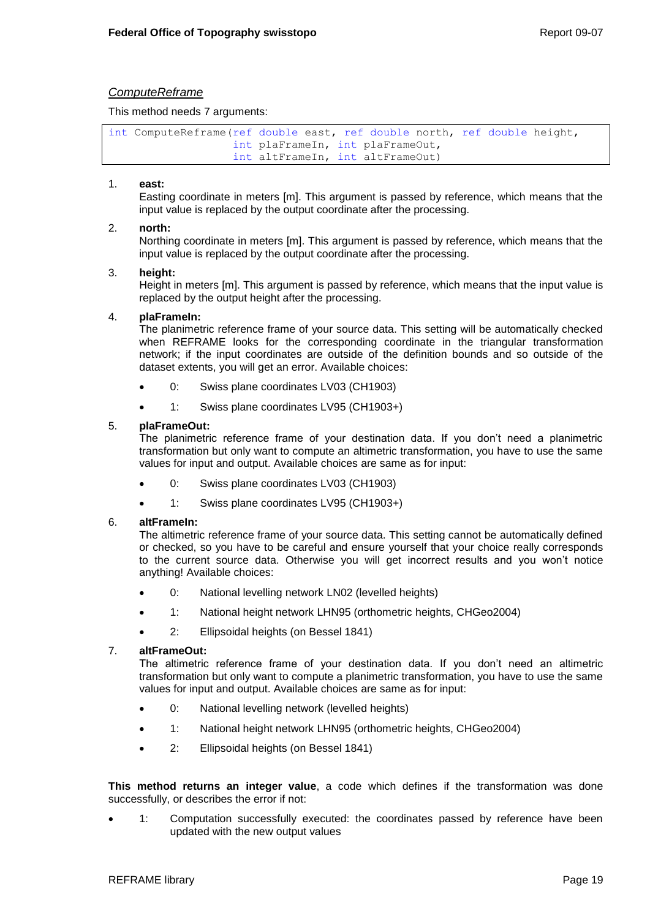## *ComputeReframe*

This method needs 7 arguments:

```
int ComputeReframe(ref double east, ref double north, ref double height,
                   int plaFrameIn, int plaFrameOut,
                   int altFrameIn, int altFrameOut)
```
### 1. **east:**

Easting coordinate in meters [m]. This argument is passed by reference, which means that the input value is replaced by the output coordinate after the processing.

### 2. **north:**

Northing coordinate in meters [m]. This argument is passed by reference, which means that the input value is replaced by the output coordinate after the processing.

### 3. **height:**

Height in meters [m]. This argument is passed by reference, which means that the input value is replaced by the output height after the processing.

#### 4. **plaFrameIn:**

The planimetric reference frame of your source data. This setting will be automatically checked when REFRAME looks for the corresponding coordinate in the triangular transformation network; if the input coordinates are outside of the definition bounds and so outside of the dataset extents, you will get an error. Available choices:

- 0: Swiss plane coordinates LV03 (CH1903)
- 1: Swiss plane coordinates LV95 (CH1903+)

### 5. **plaFrameOut:**

The planimetric reference frame of your destination data. If you don't need a planimetric transformation but only want to compute an altimetric transformation, you have to use the same values for input and output. Available choices are same as for input:

- 0: Swiss plane coordinates LV03 (CH1903)
- 1: Swiss plane coordinates LV95 (CH1903+)

#### 6. **altFrameIn:**

The altimetric reference frame of your source data. This setting cannot be automatically defined or checked, so you have to be careful and ensure yourself that your choice really corresponds to the current source data. Otherwise you will get incorrect results and you won't notice anything! Available choices:

- 0: National levelling network LN02 (levelled heights)
- 1: National height network LHN95 (orthometric heights, CHGeo2004)
- 2: Ellipsoidal heights (on Bessel 1841)

#### 7. **altFrameOut:**

The altimetric reference frame of your destination data. If you don't need an altimetric transformation but only want to compute a planimetric transformation, you have to use the same values for input and output. Available choices are same as for input:

- 0: National levelling network (levelled heights)
- 1: National height network LHN95 (orthometric heights, CHGeo2004)
- 2: Ellipsoidal heights (on Bessel 1841)

**This method returns an integer value**, a code which defines if the transformation was done successfully, or describes the error if not:

 1: Computation successfully executed: the coordinates passed by reference have been updated with the new output values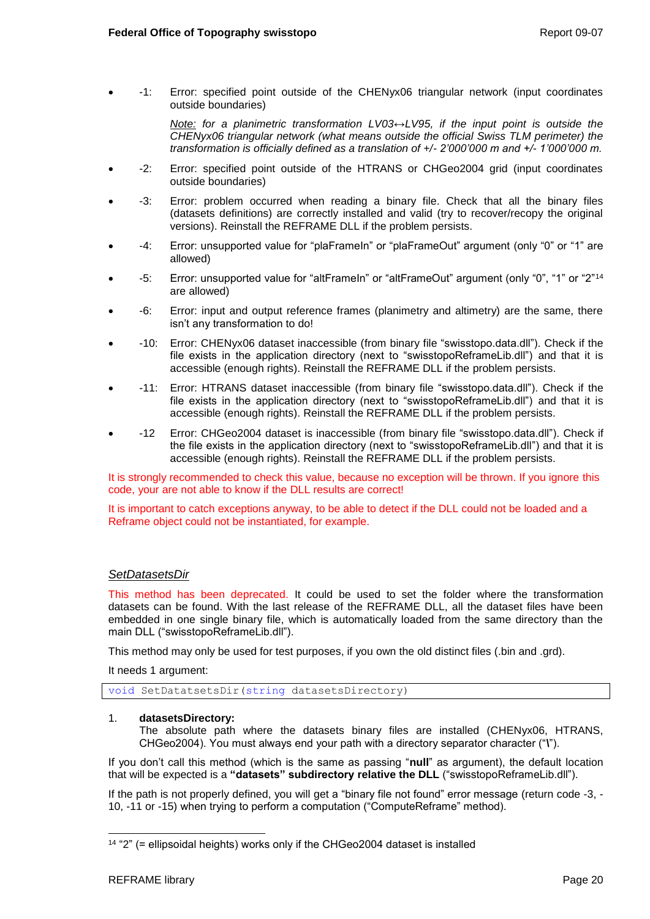-1: Error: specified point outside of the CHENyx06 triangular network (input coordinates outside boundaries)

> *Note: for a planimetric transformation LV03↔LV95, if the input point is outside the CHENyx06 triangular network (what means outside the official Swiss TLM perimeter) the transformation is officially defined as a translation of +/- 2'000'000 m and +/- 1'000'000 m.*

- -2: Error: specified point outside of the HTRANS or CHGeo2004 grid (input coordinates outside boundaries)
- -3: Error: problem occurred when reading a binary file. Check that all the binary files (datasets definitions) are correctly installed and valid (try to recover/recopy the original versions). Reinstall the REFRAME DLL if the problem persists.
- -4: Error: unsupported value for "plaFrameIn" or "plaFrameOut" argument (only "0" or "1" are allowed)
- -5: Error: unsupported value for "altFrameIn" or "altFrameOut" argument (only "0", "1" or "2"<sup>14</sup> are allowed)
- -6: Error: input and output reference frames (planimetry and altimetry) are the same, there isn't any transformation to do!
- -10: Error: CHENyx06 dataset inaccessible (from binary file "swisstopo.data.dll"). Check if the file exists in the application directory (next to "swisstopoReframeLib.dll") and that it is accessible (enough rights). Reinstall the REFRAME DLL if the problem persists.
- -11: Error: HTRANS dataset inaccessible (from binary file "swisstopo.data.dll"). Check if the file exists in the application directory (next to "swisstopoReframeLib.dll") and that it is accessible (enough rights). Reinstall the REFRAME DLL if the problem persists.
- -12 Error: CHGeo2004 dataset is inaccessible (from binary file "swisstopo.data.dll"). Check if the file exists in the application directory (next to "swisstopoReframeLib.dll") and that it is accessible (enough rights). Reinstall the REFRAME DLL if the problem persists.

It is strongly recommended to check this value, because no exception will be thrown. If you ignore this code, your are not able to know if the DLL results are correct!

It is important to catch exceptions anyway, to be able to detect if the DLL could not be loaded and a Reframe object could not be instantiated, for example.

## *SetDatasetsDir*

This method has been deprecated. It could be used to set the folder where the transformation datasets can be found. With the last release of the REFRAME DLL, all the dataset files have been embedded in one single binary file, which is automatically loaded from the same directory than the main DLL ("swisstopoReframeLib.dll").

This method may only be used for test purposes, if you own the old distinct files (.bin and .grd).

It needs 1 argument:

void SetDatatsetsDir(string datasetsDirectory)

#### 1. **datasetsDirectory:**

The absolute path where the datasets binary files are installed (CHENyx06, HTRANS, CHGeo2004). You must always end your path with a directory separator character ("**\**").

If you don't call this method (which is the same as passing "**null**" as argument), the default location that will be expected is a **"datasets" subdirectory relative the DLL** ("swisstopoReframeLib.dll").

If the path is not properly defined, you will get a "binary file not found" error message (return code -3, - 10, -11 or -15) when trying to perform a computation ("ComputeReframe" method).

l 14 "2" (= ellipsoidal heights) works only if the CHGeo2004 dataset is installed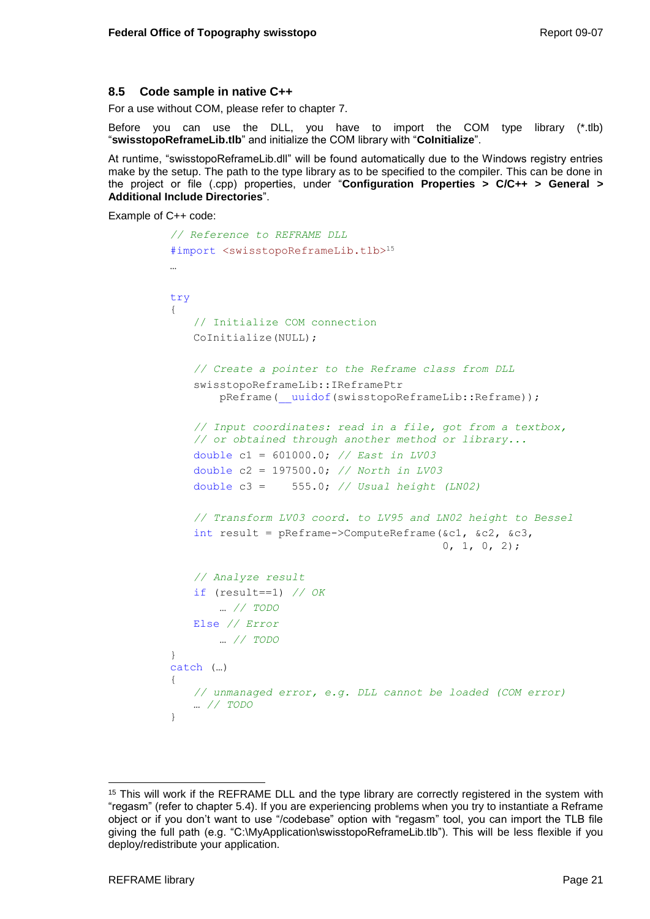## <span id="page-24-0"></span>**8.5 Code sample in native C++**

For a use without COM, please refer to chapter [7.](#page-14-0)

Before you can use the DLL, you have to import the COM type library (\*.tlb) "**swisstopoReframeLib.tlb**" and initialize the COM library with "**CoInitialize**".

At runtime, "swisstopoReframeLib.dll" will be found automatically due to the Windows registry entries make by the setup. The path to the type library as to be specified to the compiler. This can be done in the project or file (.cpp) properties, under "**Configuration Properties > C/C++ > General > Additional Include Directories**".

Example of C++ code:

```
// Reference to REFRAME DLL
#import <swisstopoReframeLib.tlb>15
…
try
{
   // Initialize COM connection
   CoInitialize(NULL);
   // Create a pointer to the Reframe class from DLL
   swisstopoReframeLib::IReframePtr 
       pReframe( uuidof(swisstopoReframeLib::Reframe));
   // Input coordinates: read in a file, got from a textbox, 
   // or obtained through another method or library...
   double c1 = 601000.0; // East in LV03
   double c2 = 197500.0; // North in LV03
   double c3 = 555.0; // Usual height (LN02)
   // Transform LV03 coord. to LV95 and LN02 height to Bessel
   int result = pReframe->ComputeReframe(\&c1, \&c2, \&c3,
                                          0, 1, 0, 2);// Analyze result
   if (result==1) // OK
        … // TODO
   Else // Error
        … // TODO
}
catch (…)
{
   // unmanaged error, e.g. DLL cannot be loaded (COM error)
   … // TODO
}
```
<sup>&</sup>lt;sup>15</sup> This will work if the REFRAME DLL and the type library are correctly registered in the system with "regasm" (refer to chapter [5.4\)](#page-9-0). If you are experiencing problems when you try to instantiate a Reframe object or if you don't want to use "/codebase" option with "regasm" tool, you can import the TLB file giving the full path (e.g. "C:\MyApplication\swisstopoReframeLib.tlb"). This will be less flexible if you deploy/redistribute your application.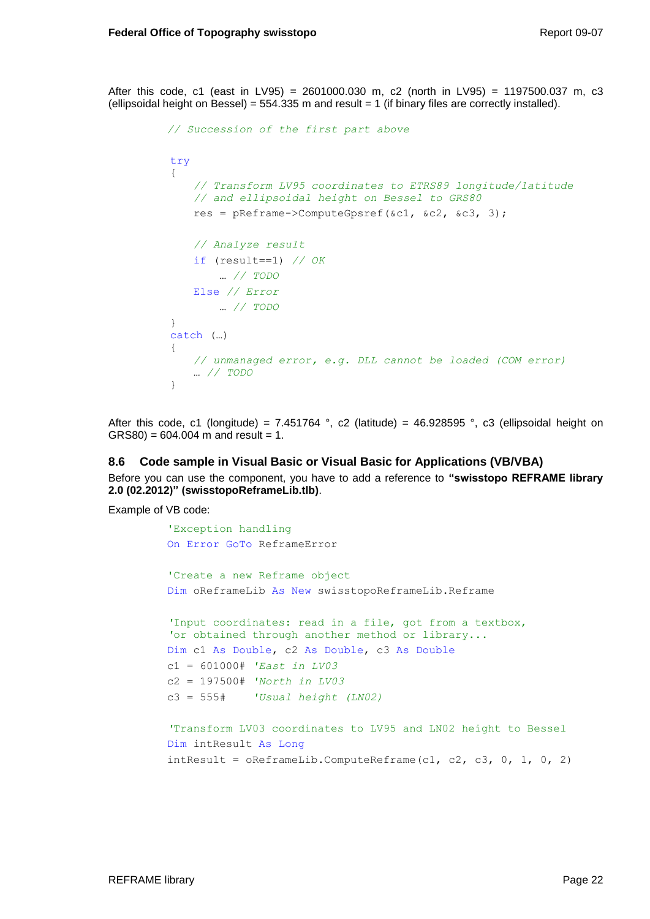After this code, c1 (east in LV95) = 2601000.030 m, c2 (north in LV95) = 1197500.037 m, c3 (ellipsoidal height on Bessel) =  $554.335$  m and result = 1 (if binary files are correctly installed).

```
// Succession of the first part above
try
{
    // Transform LV95 coordinates to ETRS89 longitude/latitude
    // and ellipsoidal height on Bessel to GRS80
    res = pReframe->ComputeGpsref(&c1, &c2, &c3, 3);
    // Analyze result
    if (result==1) // OK
         … // TODO
    Else // Error
        … // TODO
}
catch (…)
{
    // unmanaged error, e.g. DLL cannot be loaded (COM error)
   … // TODO
}
```
After this code, c1 (longitude) = 7.451764 °, c2 (latitude) = 46.928595 °, c3 (ellipsoidal height on  $GRS80$  = 604.004 m and result = 1.

#### <span id="page-25-0"></span>**8.6 Code sample in Visual Basic or Visual Basic for Applications (VB/VBA)**

Before you can use the component, you have to add a reference to **"swisstopo REFRAME library 2.0 (02.2012)" (swisstopoReframeLib.tlb)**.

Example of VB code:

```
'Exception handling
On Error GoTo ReframeError
'Create a new Reframe object
Dim oReframeLib As New swisstopoReframeLib.Reframe
'Input coordinates: read in a file, got from a textbox, 
'or obtained through another method or library...
Dim c1 As Double, c2 As Double, c3 As Double
c1 = 601000# 'East in LV03
c2 = 197500# 'North in LV03
c3 = 555# 'Usual height (LN02)
'Transform LV03 coordinates to LV95 and LN02 height to Bessel
Dim intResult As Long
```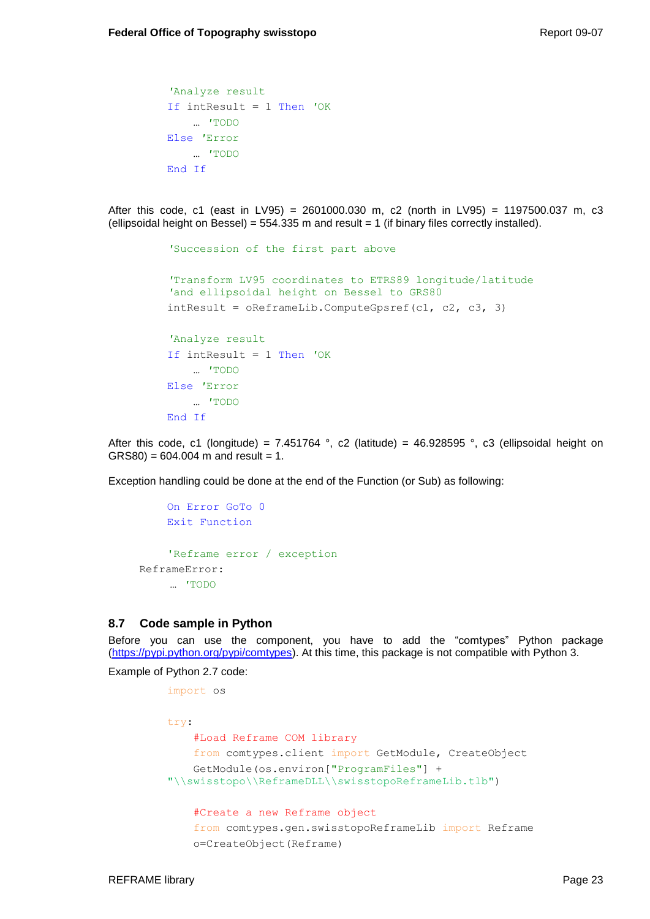```
'Analyze result
If intResult = 1 Then 'OK
     … 'TODO
Else 'Error
    … 'TODO
End If
```
After this code, c1 (east in LV95) = 2601000.030 m, c2 (north in LV95) = 1197500.037 m, c3 (ellipsoidal height on Bessel) =  $554.335$  m and result = 1 (if binary files correctly installed).

```
'Succession of the first part above
'Transform LV95 coordinates to ETRS89 longitude/latitude
'and ellipsoidal height on Bessel to GRS80
intResult = OReframelib.ComputeGpsref(cl, c2, c3, 3)'Analyze result
If intResult = 1 Then 'OK
    … 'TODO
Else 'Error
    … 'TODO
End If
```
After this code, c1 (longitude) = 7.451764 °, c2 (latitude) = 46.928595 °, c3 (ellipsoidal height on  $GRS80$  = 604.004 m and result = 1.

Exception handling could be done at the end of the Function (or Sub) as following:

```
On Error GoTo 0
    Exit Function
    'Reframe error / exception
ReframeError:
    … 'TODO
```
## <span id="page-26-0"></span>**8.7 Code sample in Python**

Before you can use the component, you have to add the "comtypes" Python package [\(https://pypi.python.org/pypi/comtypes\)](https://pypi.python.org/pypi/comtypes). At this time, this package is not compatible with Python 3.

Example of Python 2.7 code:

```
import os
try:
     #Load Reframe COM library
     from comtypes.client import GetModule, CreateObject
     GetModule(os.environ["ProgramFiles"] + 
"\\swisstopo\\ReframeDLL\\swisstopoReframeLib.tlb")
     #Create a new Reframe object
     from comtypes.gen.swisstopoReframeLib import Reframe
     o=CreateObject(Reframe)
```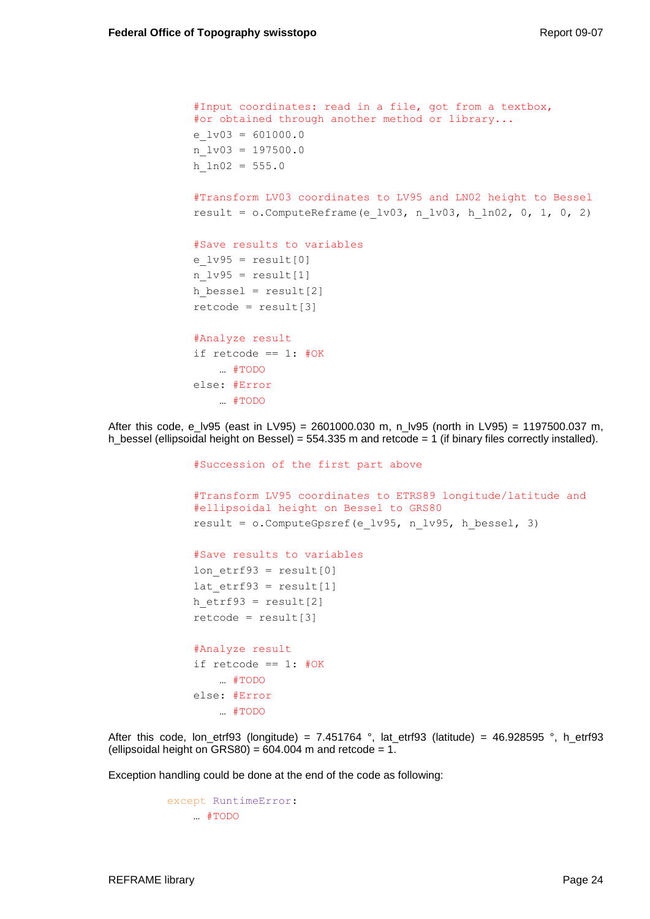```
 #Input coordinates: read in a file, got from a textbox, 
 #or obtained through another method or library...
e lv03 = 601000.0n \text{lv03} = 197500.0h ln02 = 555.0 #Transform LV03 coordinates to LV95 and LN02 height to Bessel
result = o. ComputeReframe (e lv03, n lv03, h ln02, 0, 1, 0, 2)
 #Save results to variables
e l\nu95 = result[0]n_lv95 = result[1]h bessel = result[2]retcode = result[3] #Analyze result
if retcode == 1: #OK … #TODO
 else: #Error
    … #TODO
```
After this code, e\_lv95 (east in LV95) = 2601000.030 m, n\_lv95 (north in LV95) = 1197500.037 m, h\_bessel (ellipsoidal height on Bessel) = 554.335 m and retcode = 1 (if binary files correctly installed).

> #Succession of the first part above #Transform LV95 coordinates to ETRS89 longitude/latitude and #ellipsoidal height on Bessel to GRS80 result =  $o$ . Compute Gpsref(e lv95, n lv95, h bessel, 3) #Save results to variables lon  $etrf93 = result[0]$ lat  $etrf93 = result[1]$ h etrf93 = result $[2]$  $retcode = result[3]$  #Analyze result if retcode ==  $1:$  #OK … #TODO else: #Error … #TODO

After this code, lon\_etrf93 (longitude) = 7.451764 °, lat\_etrf93 (latitude) = 46.928595 °, h\_etrf93 (ellipsoidal height on GRS80) =  $604.004$  m and retcode = 1.

Exception handling could be done at the end of the code as following:

```
except RuntimeError:
    … #TODO
```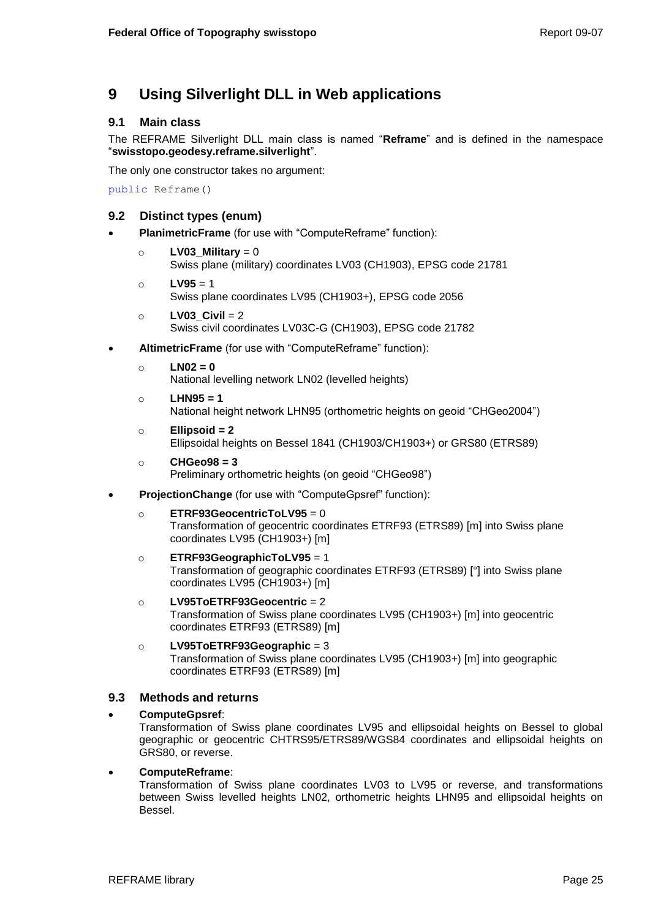# <span id="page-28-0"></span>**9 Using Silverlight DLL in Web applications**

## <span id="page-28-1"></span>**9.1 Main class**

The REFRAME Silverlight DLL main class is named "**Reframe**" and is defined in the namespace "**swisstopo.geodesy.reframe.silverlight**".

The only one constructor takes no argument:

public Reframe()

# <span id="page-28-2"></span>**9.2 Distinct types (enum)**

- **PlanimetricFrame** (for use with "ComputeReframe" function):
	- o **LV03\_Military** = 0 Swiss plane (military) coordinates LV03 (CH1903), EPSG code 21781
	- o **LV95** = 1
		- Swiss plane coordinates LV95 (CH1903+), EPSG code 2056
	- o **LV03\_Civil** = 2 Swiss civil coordinates LV03C-G (CH1903), EPSG code 21782
- **AltimetricFrame** (for use with "ComputeReframe" function):
	- o **LN02 = 0**

National levelling network LN02 (levelled heights)

- o **LHN95 = 1** National height network LHN95 (orthometric heights on geoid "CHGeo2004")
- o **Ellipsoid = 2** Ellipsoidal heights on Bessel 1841 (CH1903/CH1903+) or GRS80 (ETRS89)
- o **CHGeo98 = 3** Preliminary orthometric heights (on geoid "CHGeo98")
- **ProjectionChange** (for use with "ComputeGpsref" function):
	- o **ETRF93GeocentricToLV95** = 0 Transformation of geocentric coordinates ETRF93 (ETRS89) [m] into Swiss plane coordinates LV95 (CH1903+) [m]
	- o **ETRF93GeographicToLV95** = 1 Transformation of geographic coordinates ETRF93 (ETRS89) [°] into Swiss plane coordinates LV95 (CH1903+) [m]
	- o **LV95ToETRF93Geocentric** = 2 Transformation of Swiss plane coordinates LV95 (CH1903+) [m] into geocentric coordinates ETRF93 (ETRS89) [m]
	- o **LV95ToETRF93Geographic** = 3 Transformation of Swiss plane coordinates LV95 (CH1903+) [m] into geographic coordinates ETRF93 (ETRS89) [m]

# <span id="page-28-3"></span>**9.3 Methods and returns**

## **ComputeGpsref**:

Transformation of Swiss plane coordinates LV95 and ellipsoidal heights on Bessel to global geographic or geocentric CHTRS95/ETRS89/WGS84 coordinates and ellipsoidal heights on GRS80, or reverse.

## **ComputeReframe**:

Transformation of Swiss plane coordinates LV03 to LV95 or reverse, and transformations between Swiss levelled heights LN02, orthometric heights LHN95 and ellipsoidal heights on Bessel.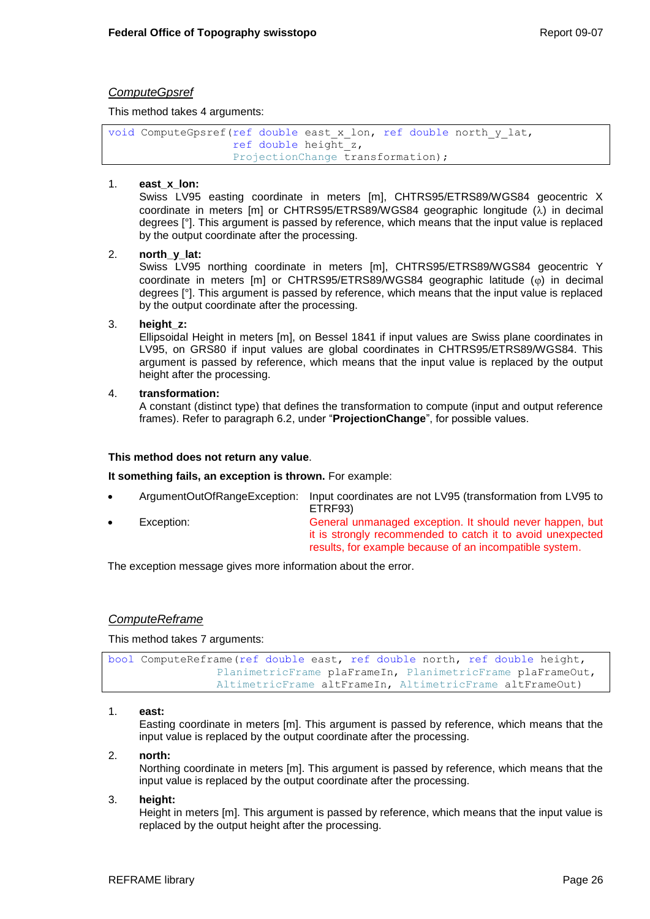## *ComputeGpsref*

This method takes 4 arguments:

```
void ComputeGpsref(ref double east_x_lon, ref double north_y_lat, 
                   ref double height_z, 
                   ProjectionChange transformation);
```
### 1. **east\_x\_lon:**

Swiss LV95 easting coordinate in meters [m], CHTRS95/ETRS89/WGS84 geocentric X coordinate in meters  $[m]$  or CHTRS95/ETRS89/WGS84 geographic longitude  $(\lambda)$  in decimal degrees [°]. This argument is passed by reference, which means that the input value is replaced by the output coordinate after the processing.

### 2. **north\_y\_lat:**

Swiss LV95 northing coordinate in meters [m], CHTRS95/ETRS89/WGS84 geocentric Y coordinate in meters [m] or CHTRS95/ETRS89/WGS84 geographic latitude  $(\varphi)$  in decimal degrees [°]. This argument is passed by reference, which means that the input value is replaced by the output coordinate after the processing.

### 3. **height\_z:**

Ellipsoidal Height in meters [m], on Bessel 1841 if input values are Swiss plane coordinates in LV95, on GRS80 if input values are global coordinates in CHTRS95/ETRS89/WGS84. This argument is passed by reference, which means that the input value is replaced by the output height after the processing.

### 4. **transformation:**

A constant (distinct type) that defines the transformation to compute (input and output reference frames). Refer to paragraph [6.2,](#page-10-3) under "**ProjectionChange**", for possible values.

### **This method does not return any value**.

**It something fails, an exception is thrown.** For example:

- ArgumentOutOfRangeException: Input coordinates are not LV95 (transformation from LV95 to ETRF93)
	- Exception: General unmanaged exception. It should never happen, but it is strongly recommended to catch it to avoid unexpected results, for example because of an incompatible system.

The exception message gives more information about the error.

## *ComputeReframe*

This method takes 7 arguments:

```
bool ComputeReframe(ref double east, ref double north, ref double height,
                PlanimetricFrame plaFrameIn, PlanimetricFrame plaFrameOut,
                AltimetricFrame altFrameIn, AltimetricFrame altFrameOut)
```
#### 1. **east:**

Easting coordinate in meters [m]. This argument is passed by reference, which means that the input value is replaced by the output coordinate after the processing.

#### 2. **north:**

Northing coordinate in meters [m]. This argument is passed by reference, which means that the input value is replaced by the output coordinate after the processing.

#### 3. **height:**

Height in meters [m]. This argument is passed by reference, which means that the input value is replaced by the output height after the processing.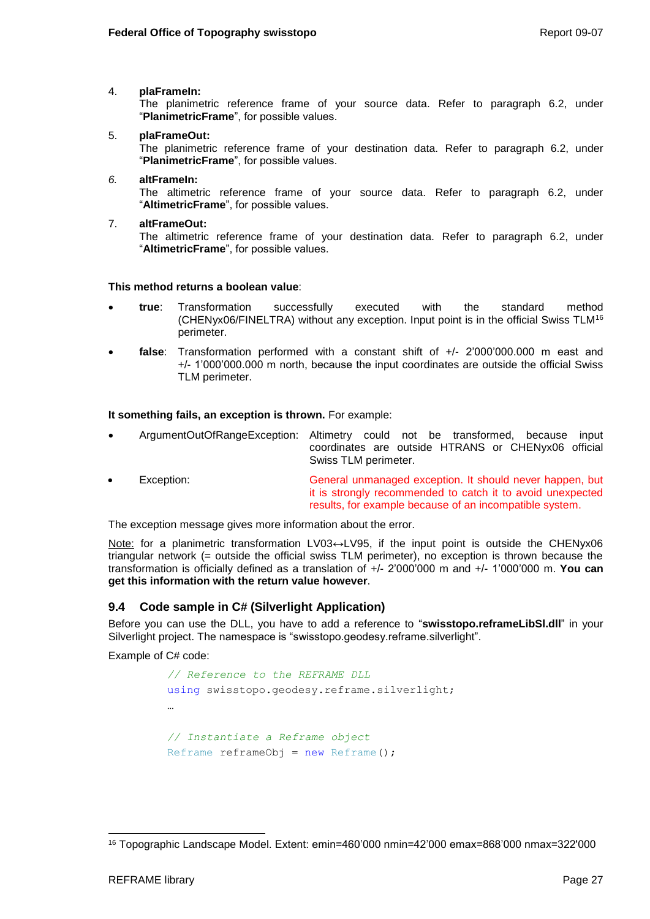## 4. **plaFrameIn:**

The planimetric reference frame of your source data. Refer to paragraph [6.2,](#page-10-3) under "**PlanimetricFrame**", for possible values.

## 5. **plaFrameOut:**

The planimetric reference frame of your destination data. Refer to paragraph [6.2,](#page-10-3) under "**PlanimetricFrame**", for possible values.

#### *6.* **altFrameIn:**

The altimetric reference frame of your source data. Refer to paragraph [6.2,](#page-10-3) under "**AltimetricFrame**", for possible values.

7. **altFrameOut:** The altimetric reference frame of your destination data. Refer to paragraph [6.2,](#page-10-3) under "**AltimetricFrame**", for possible values.

### **This method returns a boolean value**:

- **true**: Transformation successfully executed with the standard method (CHENyx06/FINELTRA) without any exception. Input point is in the official Swiss TLM<sup>16</sup> perimeter.
- **false**: Transformation performed with a constant shift of +/- 2'000'000.000 m east and +/- 1'000'000.000 m north, because the input coordinates are outside the official Swiss TLM perimeter.

**It something fails, an exception is thrown.** For example:

- ArgumentOutOfRangeException: Altimetry could not be transformed, because input coordinates are outside HTRANS or CHENyx06 official Swiss TLM perimeter.
- Exception: General unmanaged exception. It should never happen, but it is strongly recommended to catch it to avoid unexpected results, for example because of an incompatible system.

The exception message gives more information about the error.

Note: for a planimetric transformation LV03↔LV95, if the input point is outside the CHENyx06 triangular network (= outside the official swiss TLM perimeter), no exception is thrown because the transformation is officially defined as a translation of +/- 2'000'000 m and +/- 1'000'000 m. **You can get this information with the return value however**.

## <span id="page-30-0"></span>**9.4 Code sample in C# (Silverlight Application)**

Before you can use the DLL, you have to add a reference to "**swisstopo.reframeLibSl.dll**" in your Silverlight project. The namespace is "swisstopo.geodesy.reframe.silverlight".

Example of C# code:

```
// Reference to the REFRAME DLL 
using swisstopo.geodesy.reframe.silverlight;
…
// Instantiate a Reframe object
Reframe reframeObj = new Reframe();
```
l <sup>16</sup> Topographic Landscape Model. Extent: emin=460'000 nmin=42'000 emax=868'000 nmax=322'000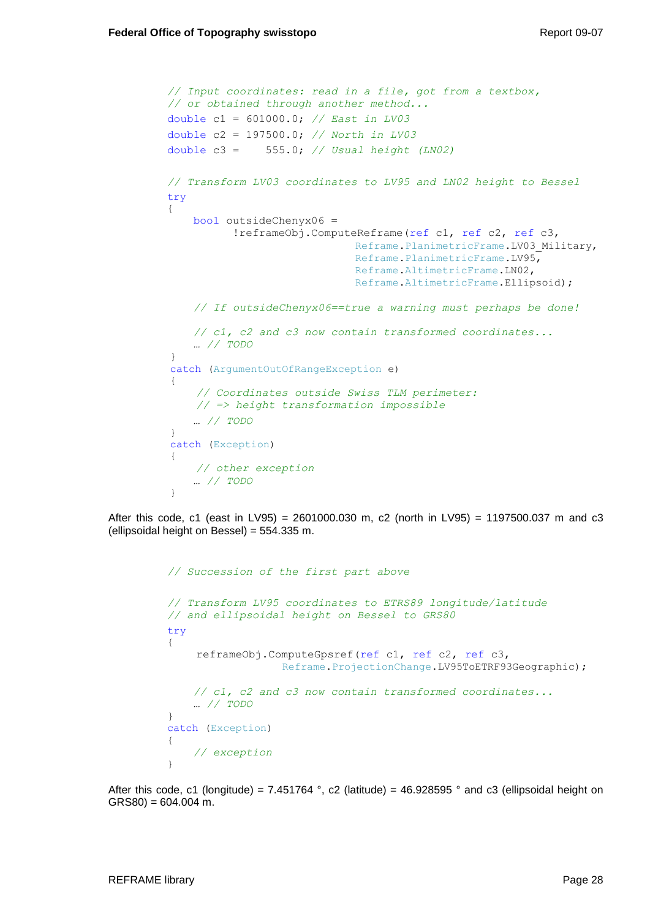```
// Input coordinates: read in a file, got from a textbox, 
// or obtained through another method...
double c1 = 601000.0; // East in LV03
double c2 = 197500.0; // North in LV03
double c3 = 555.0; // Usual height (LN02)
// Transform LV03 coordinates to LV95 and LN02 height to Bessel
try
{
    bool outsideChenyx06 = 
           !reframeObj.ComputeReframe(ref c1, ref c2, ref c3,
                             Reframe.PlanimetricFrame.LV03 Military,
                             Reframe.PlanimetricFrame.LV95,
                              Reframe.AltimetricFrame.LN02,
                              Reframe.AltimetricFrame.Ellipsoid);
    // If outsideChenyx06==true a warning must perhaps be done!
    // c1, c2 and c3 now contain transformed coordinates...
    … // TODO
}
catch (ArgumentOutOfRangeException e)
{
     // Coordinates outside Swiss TLM perimeter: 
     // => height transformation impossible
    … // TODO
}
catch (Exception)
{
     // other exception
    … // TODO
}
```
After this code, c1 (east in LV95) = 2601000.030 m, c2 (north in LV95) = 1197500.037 m and c3 (ellipsoidal height on Bessel) = 554.335 m.

```
// Succession of the first part above
// Transform LV95 coordinates to ETRS89 longitude/latitude
// and ellipsoidal height on Bessel to GRS80
try
{
     reframeObj.ComputeGpsref(ref c1, ref c2, ref c3, 
                   Reframe.ProjectionChange.LV95ToETRF93Geographic);
    // c1, c2 and c3 now contain transformed coordinates...
    … // TODO
}
catch (Exception)
{
     // exception
}
```
After this code, c1 (longitude) = 7.451764 °, c2 (latitude) = 46.928595 ° and c3 (ellipsoidal height on  $GRS80$ ) = 604.004 m.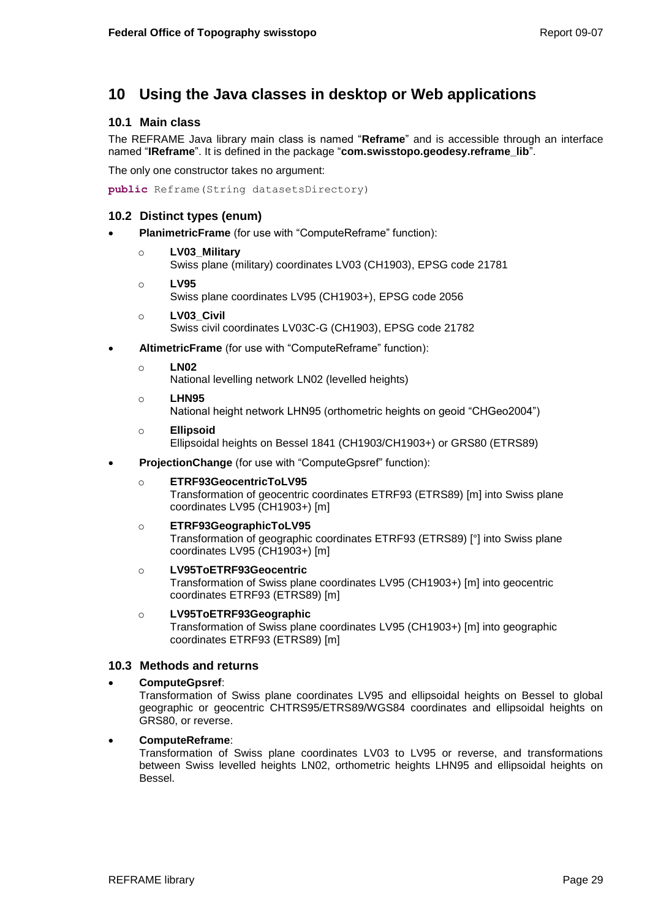# <span id="page-32-0"></span>**10 Using the Java classes in desktop or Web applications**

## <span id="page-32-1"></span>**10.1 Main class**

The REFRAME Java library main class is named "**Reframe**" and is accessible through an interface named "**IReframe**". It is defined in the package "**com.swisstopo.geodesy.reframe\_lib**".

The only one constructor takes no argument:

**public** Reframe(String datasetsDirectory)

## <span id="page-32-2"></span>**10.2 Distinct types (enum)**

- **PlanimetricFrame** (for use with "ComputeReframe" function):
	- o **LV03\_Military**
		- Swiss plane (military) coordinates LV03 (CH1903), EPSG code 21781
	- o **LV95** Swiss plane coordinates LV95 (CH1903+), EPSG code 2056
	- o **LV03\_Civil** Swiss civil coordinates LV03C-G (CH1903), EPSG code 21782
- **AltimetricFrame** (for use with "ComputeReframe" function):
	- o **LN02**

National levelling network LN02 (levelled heights)

o **LHN95**

National height network LHN95 (orthometric heights on geoid "CHGeo2004")

- o **Ellipsoid** Ellipsoidal heights on Bessel 1841 (CH1903/CH1903+) or GRS80 (ETRS89)
- **ProjectionChange** (for use with "ComputeGpsref" function):

## o **ETRF93GeocentricToLV95**

Transformation of geocentric coordinates ETRF93 (ETRS89) [m] into Swiss plane coordinates LV95 (CH1903+) [m]

#### o **ETRF93GeographicToLV95**

Transformation of geographic coordinates ETRF93 (ETRS89) [°] into Swiss plane coordinates LV95 (CH1903+) [m]

### o **LV95ToETRF93Geocentric**

Transformation of Swiss plane coordinates LV95 (CH1903+) [m] into geocentric coordinates ETRF93 (ETRS89) [m]

### o **LV95ToETRF93Geographic**

Transformation of Swiss plane coordinates LV95 (CH1903+) [m] into geographic coordinates ETRF93 (ETRS89) [m]

## <span id="page-32-3"></span>**10.3 Methods and returns**

#### **ComputeGpsref**:

Transformation of Swiss plane coordinates LV95 and ellipsoidal heights on Bessel to global geographic or geocentric CHTRS95/ETRS89/WGS84 coordinates and ellipsoidal heights on GRS80, or reverse.

#### **ComputeReframe**:

Transformation of Swiss plane coordinates LV03 to LV95 or reverse, and transformations between Swiss levelled heights LN02, orthometric heights LHN95 and ellipsoidal heights on Bessel.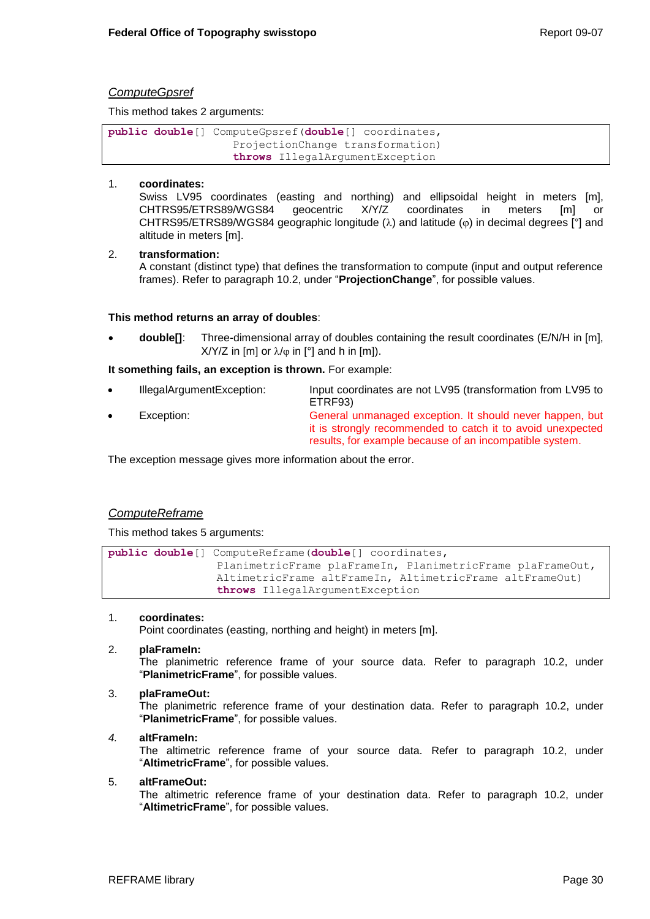## *ComputeGpsref*

This method takes 2 arguments:

**public double**[] ComputeGpsref(**double**[] coordinates, ProjectionChange transformation) **throws** IllegalArgumentException

### 1. **coordinates:**

Swiss LV95 coordinates (easting and northing) and ellipsoidal height in meters [m], CHTRS95/ETRS89/WGS84 geocentric X/Y/Z coordinates in meters [m] or CHTRS95/ETRS89/WGS84 geographic longitude ( $\lambda$ ) and latitude ( $\varphi$ ) in decimal degrees [°] and altitude in meters [m].

### 2. **transformation:**

A constant (distinct type) that defines the transformation to compute (input and output reference frames). Refer to paragraph [10.2,](#page-32-2) under "**ProjectionChange**", for possible values.

### **This method returns an array of doubles**:

 **double[]**: Three-dimensional array of doubles containing the result coordinates (E/N/H in [m],  $X/Y/Z$  in [m] or  $\lambda/\varphi$  in [°] and h in [m]).

**It something fails, an exception is thrown.** For example:

 IllegalArgumentException: Input coordinates are not LV95 (transformation from LV95 to ETRF93) Exception: General unmanaged exception. It should never happen, but it is strongly recommended to catch it to avoid unexpected results, for example because of an incompatible system.

The exception message gives more information about the error.

## *ComputeReframe*

This method takes 5 arguments:

**public double**[] ComputeReframe(**double**[] coordinates, PlanimetricFrame plaFrameIn, PlanimetricFrame plaFrameOut, AltimetricFrame altFrameIn, AltimetricFrame altFrameOut) **throws** IllegalArgumentException

#### 1. **coordinates:**

Point coordinates (easting, northing and height) in meters [m].

#### 2. **plaFrameIn:**

The planimetric reference frame of your source data. Refer to paragraph [10.2,](#page-32-2) under "**PlanimetricFrame**", for possible values.

#### 3. **plaFrameOut:**

The planimetric reference frame of your destination data. Refer to paragraph [10.2,](#page-32-2) under "**PlanimetricFrame**", for possible values.

#### *4.* **altFrameIn:**

The altimetric reference frame of your source data. Refer to paragraph [10.2,](#page-32-2) under "**AltimetricFrame**", for possible values.

#### 5. **altFrameOut:**

The altimetric reference frame of your destination data. Refer to paragraph [10.2,](#page-32-2) under "**AltimetricFrame**", for possible values.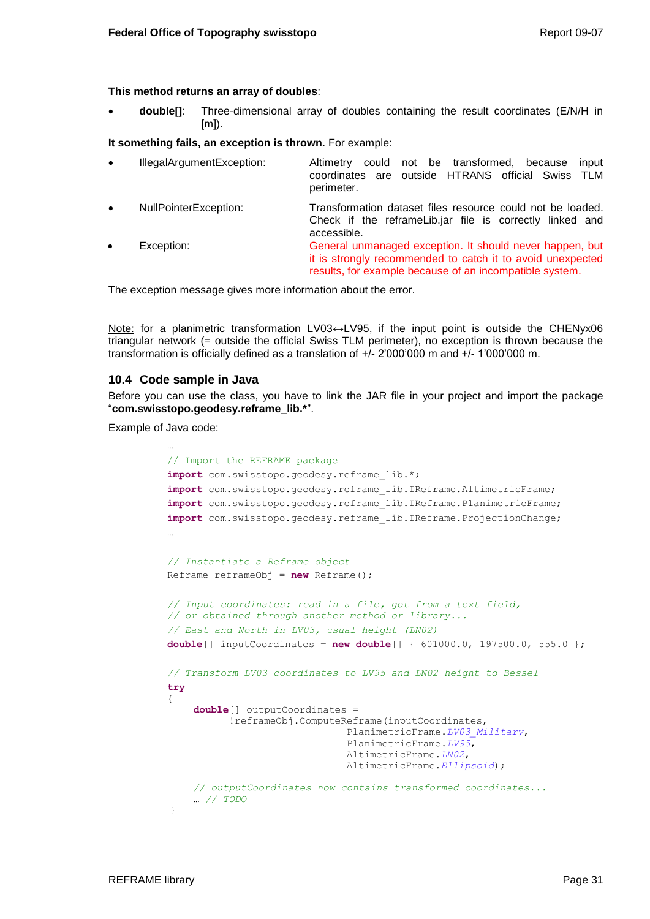### **This method returns an array of doubles**:

 **double[]**: Three-dimensional array of doubles containing the result coordinates (E/N/H in [m]).

**It something fails, an exception is thrown.** For example:

| $\bullet$ | IllegalArgumentException: | could not be transformed,<br>because<br>input<br>Altimetry<br>coordinates are outside HTRANS official Swiss TLM<br>perimeter.                                                     |
|-----------|---------------------------|-----------------------------------------------------------------------------------------------------------------------------------------------------------------------------------|
| $\bullet$ | NullPointerException:     | Transformation dataset files resource could not be loaded.<br>Check if the reframeLib.jar file is correctly linked and<br>accessible.                                             |
| $\bullet$ | Exception:                | General unmanaged exception. It should never happen, but<br>it is strongly recommended to catch it to avoid unexpected<br>results, for example because of an incompatible system. |

The exception message gives more information about the error.

Note: for a planimetric transformation LV03↔LV95, if the input point is outside the CHENyx06 triangular network (= outside the official Swiss TLM perimeter), no exception is thrown because the transformation is officially defined as a translation of +/- 2'000'000 m and +/- 1'000'000 m.

### <span id="page-34-0"></span>**10.4 Code sample in Java**

Before you can use the class, you have to link the JAR file in your project and import the package "**com.swisstopo.geodesy.reframe\_lib.\***".

Example of Java code:

```
…
// Import the REFRAME package
import com.swisstopo.geodesy.reframe lib.*;
import com.swisstopo.geodesy.reframe_lib.IReframe.AltimetricFrame;
import com.swisstopo.geodesy.reframe_lib.IReframe.PlanimetricFrame;
import com.swisstopo.geodesy.reframe_lib.IReframe.ProjectionChange;
…
// Instantiate a Reframe object
Reframe reframeObj = new Reframe();
// Input coordinates: read in a file, got from a text field, 
// or obtained through another method or library...
// East and North in LV03, usual height (LN02)
double[] inputCoordinates = new double[] { 601000.0, 197500.0, 555.0 }; 
// Transform LV03 coordinates to LV95 and LN02 height to Bessel
try
{
    double[] outputCoordinates = 
           !reframeObj.ComputeReframe(inputCoordinates, 
                                PlanimetricFrame.LV03_Military,
                               PlanimetricFrame.LV95,
                               AltimetricFrame.LN02,
                               AltimetricFrame.Ellipsoid);
    // outputCoordinates now contains transformed coordinates...
    … // TODO
}
```